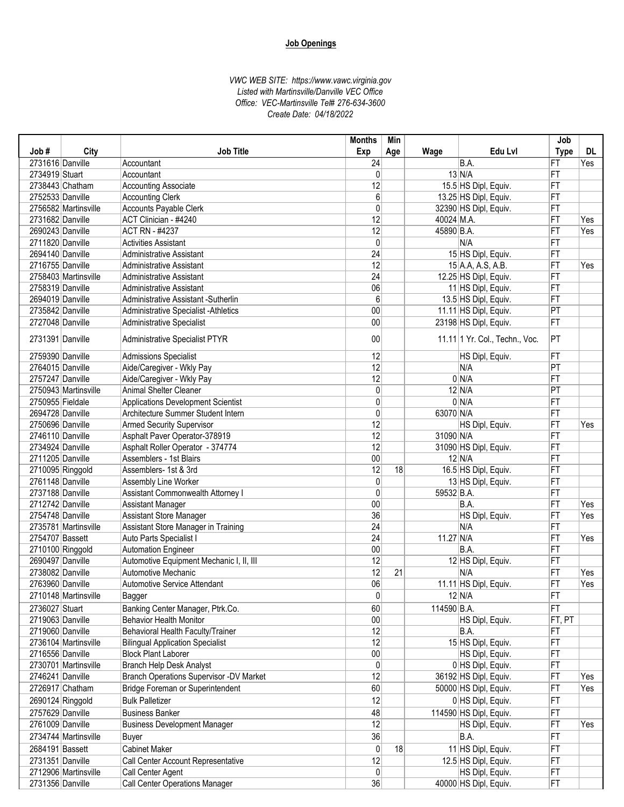|                  |                      |                                                | <b>Months</b>   | Min |             |                                  | Job         |     |
|------------------|----------------------|------------------------------------------------|-----------------|-----|-------------|----------------------------------|-------------|-----|
| Job#             | City                 | <b>Job Title</b>                               | Exp             | Age | Wage        | Edu Lvl                          | <b>Type</b> | DL  |
| 2731616 Danville |                      | Accountant                                     | 24              |     |             | B.A.                             | FT          | Yes |
| 2734919 Stuart   |                      | Accountant                                     | 0               |     |             | $13$ N/A                         | FT          |     |
|                  | 2738443 Chatham      | <b>Accounting Associate</b>                    | 12              |     |             | 15.5 HS Dipl, Equiv.             | FT          |     |
| 2752533 Danville |                      | <b>Accounting Clerk</b>                        | 6               |     |             | 13.25 HS Dipl, Equiv.            | FT          |     |
|                  | 2756582 Martinsville | Accounts Payable Clerk                         | 0               |     |             | 32390 HS Dipl, Equiv.            | FT          |     |
| 2731682 Danville |                      | ACT Clinician - #4240                          | 12              |     | 40024 M.A.  |                                  | FT          | Yes |
| 2690243 Danville |                      | <b>ACT RN - #4237</b>                          | 12              |     | 45890 B.A.  |                                  | FT          | Yes |
| 2711820 Danville |                      | <b>Activities Assistant</b>                    | $\mathbf{0}$    |     |             | N/A                              | FT          |     |
| 2694140 Danville |                      | <b>Administrative Assistant</b>                | 24              |     |             | 15 HS Dipl, Equiv.               | FT          |     |
| 2716755 Danville |                      | Administrative Assistant                       | 12              |     |             | 15 A.A, A.S, A.B.                | FT          | Yes |
|                  | 2758403 Martinsville | <b>Administrative Assistant</b>                | 24              |     |             | 12.25 HS Dipl, Equiv.            | FT          |     |
| 2758319 Danville |                      | <b>Administrative Assistant</b>                | 06              |     |             | 11 HS Dipl, Equiv.               | FT          |     |
| 2694019 Danville |                      | Administrative Assistant -Sutherlin            | 6               |     |             | 13.5 HS Dipl, Equiv.             | FT          |     |
| 2735842 Danville |                      | Administrative Specialist - Athletics          | 00              |     |             | 11.11 HS Dipl, Equiv.            | PT          |     |
| 2727048 Danville |                      | <b>Administrative Specialist</b>               | 00              |     |             | 23198 HS Dipl, Equiv.            | FT          |     |
| 2731391 Danville |                      | Administrative Specialist PTYR                 | 00              |     |             | 11.11   1 Yr. Col., Techn., Voc. | PT          |     |
| 2759390 Danville |                      | <b>Admissions Specialist</b>                   | 12              |     |             | HS Dipl, Equiv.                  | FT          |     |
| 2764015 Danville |                      | Aide/Caregiver - Wkly Pay                      | 12              |     |             | N/A                              | PT          |     |
| 2757247 Danville |                      | Aide/Caregiver - Wkly Pay                      | 12              |     |             | 0 N/A                            | FT          |     |
|                  | 2750943 Martinsville | <b>Animal Shelter Cleaner</b>                  | 0               |     |             | $12$ N/A                         | PT          |     |
| 2750955 Fieldale |                      | Applications Development Scientist             | 0               |     |             | 0 N/A                            | FT          |     |
| 2694728 Danville |                      | Architecture Summer Student Intern             | 0               |     | 63070 N/A   |                                  | FT          |     |
| 2750696 Danville |                      | <b>Armed Security Supervisor</b>               | 12              |     |             | HS Dipl, Equiv.                  | FT          | Yes |
| 2746110 Danville |                      | Asphalt Paver Operator-378919                  | 12              |     | 31090 N/A   |                                  | FT          |     |
| 2734924 Danville |                      | Asphalt Roller Operator - 374774               | $\overline{12}$ |     |             | 31090 HS Dipl, Equiv.            | FT          |     |
| 2711205 Danville |                      | Assemblers - 1st Blairs                        | 00              |     |             | $12$ N/A                         | FT          |     |
|                  | 2710095 Ringgold     | Assemblers- 1st & 3rd                          | 12              | 18  |             | 16.5 HS Dipl, Equiv.             | FT          |     |
| 2761148 Danville |                      | Assembly Line Worker                           | $\mathbf 0$     |     |             | 13 HS Dipl, Equiv.               | FT          |     |
| 2737188 Danville |                      | Assistant Commonwealth Attorney I              | 0               |     | 59532 B.A.  |                                  | FT          |     |
| 2712742 Danville |                      | <b>Assistant Manager</b>                       | 00              |     |             | B.A.                             | FT          | Yes |
| 2754748 Danville |                      | Assistant Store Manager                        | 36              |     |             | HS Dipl, Equiv.                  | FT          | Yes |
|                  | 2735781 Martinsville | Assistant Store Manager in Training            | 24              |     |             | N/A                              | FT          |     |
| 2754707 Bassett  |                      | Auto Parts Specialist I                        | $\overline{24}$ |     | 11.27 N/A   |                                  | FT          | Yes |
|                  | 2710100 Ringgold     | <b>Automation Engineer</b>                     | 00              |     |             | B.A.                             | FT          |     |
| 2690497 Danville |                      | Automotive Equipment Mechanic I, II, III       | 12              |     |             | 12 HS Dipl, Equiv.               | FT          |     |
| 2738082 Danville |                      | Automotive Mechanic                            | 12              | 21  |             | N/A                              | FT          | Yes |
| 2763960 Danville |                      | Automotive Service Attendant                   | 06              |     |             | 11.11 HS Dipl, Equiv.            | FT          | Yes |
|                  | 2710148 Martinsville | Bagger                                         | 0               |     |             | $12$ N/A                         | FT          |     |
| 2736027 Stuart   |                      | Banking Center Manager, Ptrk.Co.               | 60              |     | 114590 B.A. |                                  | FT          |     |
| 2719063 Danville |                      | <b>Behavior Health Monitor</b>                 | 00              |     |             | HS Dipl, Equiv.                  | FT, PT      |     |
| 2719060 Danville |                      | Behavioral Health Faculty/Trainer              | 12              |     |             | B.A.                             | FT          |     |
|                  | 2736104 Martinsville | <b>Bilingual Application Specialist</b>        | 12              |     |             | 15 HS Dipl, Equiv.               | FT          |     |
| 2716556 Danville |                      | <b>Block Plant Laborer</b>                     | 00              |     |             | HS Dipl, Equiv.                  | FT          |     |
|                  | 2730701 Martinsville | <b>Branch Help Desk Analyst</b>                | $\mathbf 0$     |     |             | 0 HS Dipl, Equiv.                | FT          |     |
| 2746241 Danville |                      | <b>Branch Operations Supervisor -DV Market</b> | 12              |     |             | 36192 HS Dipl, Equiv.            | FT          | Yes |
|                  | 2726917 Chatham      | Bridge Foreman or Superintendent               | 60              |     |             | 50000 HS Dipl, Equiv.            | FT          | Yes |
|                  | 2690124 Ringgold     | <b>Bulk Palletizer</b>                         | 12              |     |             | 0 HS Dipl, Equiv.                | FT          |     |
| 2757629 Danville |                      | <b>Business Banker</b>                         | 48              |     |             | 114590 HS Dipl, Equiv.           | FT          |     |
| 2761009 Danville |                      | <b>Business Development Manager</b>            | 12              |     |             | HS Dipl, Equiv.                  | FT          | Yes |
|                  | 2734744 Martinsville | Buyer                                          | 36              |     |             | B.A.                             | FT          |     |
| 2684191 Bassett  |                      | <b>Cabinet Maker</b>                           | 0               | 18  |             | 11 HS Dipl, Equiv.               | FT          |     |
| 2731351 Danville |                      | Call Center Account Representative             | 12              |     |             | 12.5 HS Dipl, Equiv.             | FT          |     |
|                  | 2712906 Martinsville | Call Center Agent                              | 0               |     |             | HS Dipl, Equiv.                  | FT          |     |
| 2731356 Danville |                      | <b>Call Center Operations Manager</b>          | 36              |     |             | 40000 HS Dipl, Equiv.            | FT          |     |
|                  |                      |                                                |                 |     |             |                                  |             |     |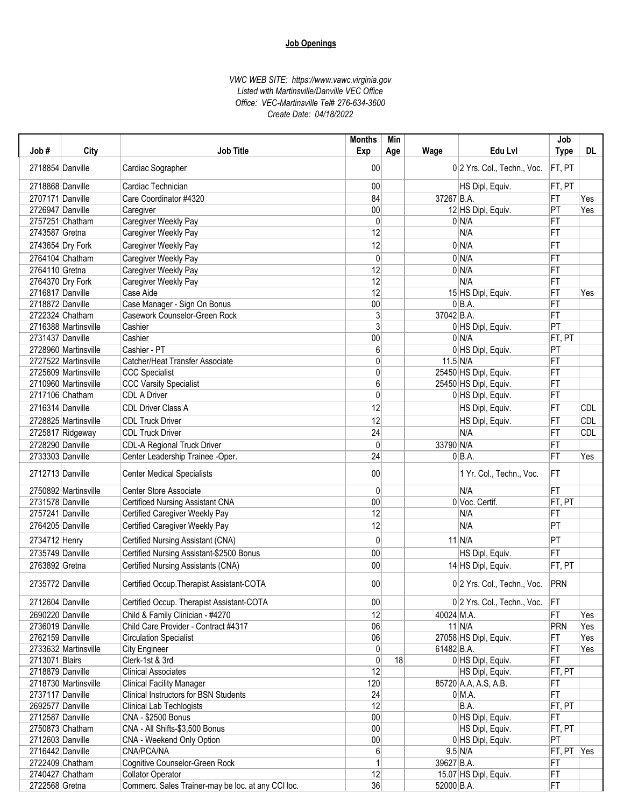| Job#             | City                                         | <b>Job Title</b>                                   | <b>Months</b><br>Exp | Min<br>Age | Wage         | Edu Lvl                     | Job<br><b>Type</b>   | DL.        |
|------------------|----------------------------------------------|----------------------------------------------------|----------------------|------------|--------------|-----------------------------|----------------------|------------|
| 2718854 Danville |                                              | Cardiac Sographer                                  | 00                   |            |              | 0 2 Yrs. Col., Techn., Voc. | FT, PT               |            |
| 2718868 Danville |                                              | Cardiac Technician                                 | 00                   |            |              | HS Dipl, Equiv.             | FT, PT               |            |
| 2707171 Danville |                                              | Care Coordinator #4320                             | 84                   |            | 37267 B.A.   |                             | FT                   | Yes        |
| 2726947 Danville |                                              | Caregiver                                          | 00                   |            |              | 12 HS Dipl, Equiv.          | $ \mathsf{PT} $      | Yes        |
|                  | 2757251 Chatham                              | Caregiver Weekly Pay                               | 0                    |            |              | 0 N/A                       | FT                   |            |
| 2743587 Gretna   |                                              | Caregiver Weekly Pay                               | 12                   |            |              | N/A                         | FT                   |            |
|                  | 2743654 Dry Fork                             | Caregiver Weekly Pay                               | 12                   |            |              | 0 N/A                       | FT                   |            |
|                  |                                              |                                                    |                      |            |              |                             |                      |            |
|                  | 2764104 Chatham                              | Caregiver Weekly Pay                               | 0<br>12              |            |              | 0 N/A                       | FT                   |            |
| 2764110 Gretna   |                                              | Caregiver Weekly Pay                               | 12                   |            |              | 0 N/A<br>N/A                | FT<br>FT             |            |
| 2716817 Danville | 2764370 Dry Fork                             | Caregiver Weekly Pay                               | 12                   |            |              |                             |                      |            |
| 2718872 Danville |                                              | Case Aide                                          | 00                   |            |              | 15 HS Dipl, Equiv.          | FT                   | Yes        |
|                  |                                              | Case Manager - Sign On Bonus                       | $\overline{3}$       |            | 37042 B.A.   | $0 BA$ .                    | FT<br>FT             |            |
|                  | 2722324 Chatham                              | Casework Counselor-Green Rock<br>Cashier           | 3                    |            |              |                             | $\overline{PT}$      |            |
|                  | 2716388 Martinsville                         |                                                    |                      |            |              | 0 HS Dipl, Equiv.           |                      |            |
| 2731437 Danville |                                              | Cashier                                            | 00                   |            |              | 0 N/A                       | FT, PT               |            |
|                  | 2728960 Martinsville                         | Cashier - PT                                       | 6                    |            |              | 0 HS Dipl, Equiv.           | PT                   |            |
|                  | 2727522 Martinsville                         | Catcher/Heat Transfer Associate                    | 0<br>$\overline{0}$  |            | $11.5$ N/A   |                             | FT                   |            |
|                  | 2725609 Martinsville<br>2710960 Martinsville | <b>CCC Specialist</b>                              |                      |            |              | 25450 HS Dipl, Equiv.       | FT                   |            |
|                  |                                              | <b>CCC Varsity Specialist</b>                      | 6                    |            |              | 25450 HS Dipl, Equiv.       | FT                   |            |
|                  | 2717106 Chatham                              | <b>CDL A Driver</b>                                | $\overline{0}$       |            |              | 0 HS Dipl, Equiv.           | FT                   |            |
| 2716314 Danville |                                              | <b>CDL Driver Class A</b>                          | 12                   |            |              | HS Dipl, Equiv.             | FT                   | <b>CDL</b> |
|                  | 2728825 Martinsville                         | <b>CDL Truck Driver</b>                            | 12                   |            |              | HS Dipl, Equiv.             | FT                   | <b>CDL</b> |
|                  | 2725817 Ridgeway                             | <b>CDL Truck Driver</b>                            | 24                   |            |              | N/A                         | FT                   | <b>CDL</b> |
| 2728290 Danville |                                              | <b>CDL-A Regional Truck Driver</b>                 | $\overline{0}$       |            | 33790 N/A    |                             | FT                   |            |
| 2733303 Danville |                                              | Center Leadership Trainee -Oper.                   | 24                   |            |              | $0 BA$ .                    | FT                   | Yes        |
| 2712713 Danville |                                              | <b>Center Medical Specialists</b>                  | 00                   |            |              | 1 Yr. Col., Techn., Voc.    | IFT.                 |            |
|                  | 2750892 Martinsville                         | Center Store Associate                             | 0                    |            |              | N/A                         | FT                   |            |
| 2731578 Danville |                                              | <b>Certificed Nursing Assistant CNA</b>            | 00                   |            |              | 0 Voc. Certif.              | FT, PT               |            |
| 2757241 Danville |                                              | Certified Caregiver Weekly Pay                     | 12                   |            |              | N/A                         | FT                   |            |
| 2764205 Danville |                                              | Certified Caregiver Weekly Pay                     | 12                   |            |              | N/A                         | PT                   |            |
| 2734712 Henry    |                                              | Certified Nursing Assistant (CNA)                  | $\mathbf{0}$         |            |              | $11$ N/A                    | PT                   |            |
| 2735749 Danville |                                              | Certified Nursing Assistant-\$2500 Bonus           | 00                   |            |              | HS Dipl, Equiv.             | FT                   |            |
| 2763892 Gretna   |                                              |                                                    | 00                   |            |              |                             | FT, PT               |            |
|                  |                                              | Certified Nursing Assistants (CNA)                 |                      |            |              | 14 HS Dipl, Equiv.          |                      |            |
| 2735772 Danville |                                              | Certified Occup. Therapist Assistant-COTA          | 00                   |            |              | 0 2 Yrs. Col., Techn., Voc. | <b>PRN</b>           |            |
| 2712604 Danville |                                              | Certified Occup. Therapist Assistant-COTA          | 00 <sub>0</sub>      |            |              | 0 2 Yrs. Col., Techn., Voc. | FT                   |            |
| 2690220 Danville |                                              | Child & Family Clinician - #4270                   | 12                   |            | 40024 M.A.   |                             | FT                   | Yes        |
| 2736019 Danville |                                              | Child Care Provider - Contract #4317               | 06                   |            |              | $11$ N/A                    | PRN                  | Yes        |
| 2762159 Danville |                                              | <b>Circulation Specialist</b>                      | 06                   |            |              | 27058 HS Dipl, Equiv.       | FT                   | Yes        |
|                  | 2733632 Martinsville                         | City Engineer                                      | $\overline{0}$       |            | $61482$ B.A. |                             | FT                   | Yes        |
| 2713071 Blairs   |                                              | Clerk-1st & 3rd                                    | 0                    | 18         |              | 0 HS Dipl, Equiv.           | FT                   |            |
| 2718879 Danville |                                              | <b>Clinical Associates</b>                         | 12                   |            |              | HS Dipl, Equiv.             | FT, PT               |            |
|                  | 2718730 Martinsville                         | <b>Clinical Facility Manager</b>                   | 120                  |            |              | 85720 A.A, A.S, A.B.        | FT                   |            |
| 2737117 Danville |                                              | Clinical Instructors for BSN Students              | 24                   |            |              | $0$ M.A.                    | FT                   |            |
| 2692577 Danville |                                              | Clinical Lab Techlogists                           | 12                   |            |              | B.A.                        | FT, PT               |            |
| 2712587 Danville |                                              | CNA - \$2500 Bonus                                 | 00                   |            |              | 0 HS Dipl, Equiv.           | FT                   |            |
|                  | 2750873 Chatham                              | CNA - All Shifts-\$3,500 Bonus                     | 00 <sub>0</sub>      |            |              | HS Dipl, Equiv.             | FT, PT               |            |
| 2712603 Danville |                                              | CNA - Weekend Only Option                          | 00 <sub>0</sub>      |            |              | 0 HS Dipl, Equiv.           | PT                   |            |
| 2716442 Danville |                                              | CNA/PCA/NA                                         | 6                    |            |              | $9.5$ N/A                   | FT, $PT$ $\vert$ Yes |            |
|                  | 2722409 Chatham                              | Cognitive Counselor-Green Rock                     | 1                    |            | 39627 B.A.   |                             | FT                   |            |
|                  | 2740427 Chatham                              | <b>Collator Operator</b>                           | 12                   |            |              | 15.07 HS Dipl, Equiv.       | FT                   |            |
| 2722568 Gretna   |                                              | Commerc. Sales Trainer-may be loc. at any CCI loc. | 36                   |            | 52000 B.A.   |                             | FT                   |            |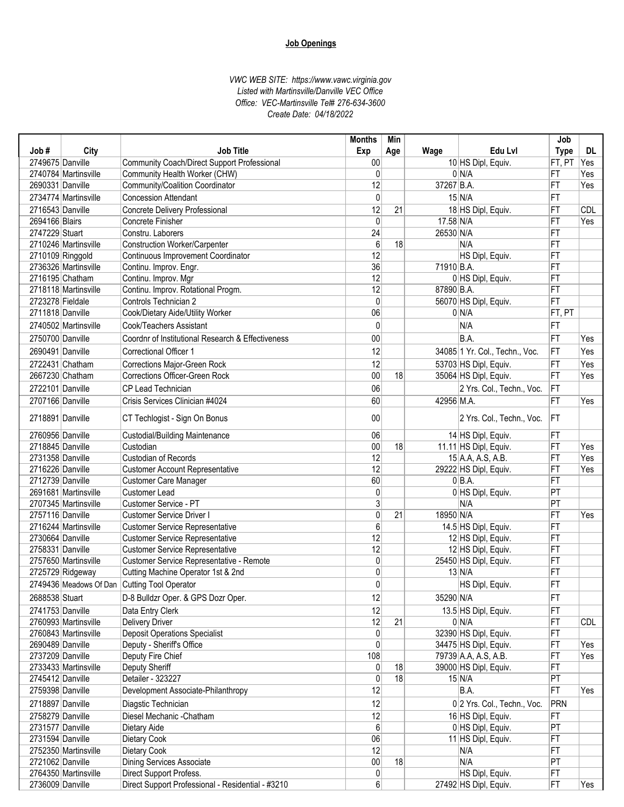| Edu LvI<br>Job#<br>City<br><b>Job Title</b><br>Exp<br>Age<br>Wage<br>2749675 Danville<br>10 HS Dipl, Equiv.<br>Community Coach/Direct Support Professional<br>$00\,$<br>0<br>$0 \mid N/A$<br>2740784 Martinsville<br>Community Health Worker (CHW)<br>12<br>37267 B.A.<br>2690331 Danville<br>Community/Coalition Coordinator<br>0<br>$15$ N/A<br>2734774 Martinsville<br><b>Concession Attendant</b><br>12<br>21<br>2716543 Danville<br>18 HS Dipl, Equiv.<br>Concrete Delivery Professional<br>17.58 N/A<br>2694166 Blairs<br>Concrete Finisher<br>$\mathbf 0$<br>2747229 Stuart<br>24<br>26530 N/A<br>Constru. Laborers<br>$6\phantom{1}6$<br><b>Construction Worker/Carpenter</b><br>18<br>2710246 Martinsville<br>N/A<br>12<br>2710109 Ringgold<br>HS Dipl, Equiv.<br>Continuous Improvement Coordinator<br>36<br>2736326 Martinsville<br>Continu. Improv. Engr.<br>71910 B.A.<br>$\overline{12}$<br>2716195 Chatham<br>Continu. Improv. Mgr<br>0 HS Dipl, Equiv.<br>12<br>2718118 Martinsville<br>Continu. Improv. Rotational Progm.<br>87890 B.A.<br>Controls Technician 2<br>2723278 Fieldale<br>0<br>56070 HS Dipl, Equiv.<br>2711818 Danville<br>06<br>0 N/A<br>Cook/Dietary Aide/Utility Worker<br>$\mathbf{0}$<br>N/A<br>2740502 Martinsville<br>Cook/Teachers Assistant<br>$00\,$<br>B.A.<br>2750700 Danville<br>Coordnr of Institutional Research & Effectiveness<br>12<br>34085 1 Yr. Col., Techn., Voc.<br>2690491 Danville<br><b>Correctional Officer 1</b> | <b>Type</b><br>FT, PT<br>FT<br>FT<br>FT<br>FT<br>FT<br>FT<br>FT<br>FT<br>FT<br>FT<br>FT<br>FT | DL<br>Yes<br>Yes<br>Yes<br><b>CDL</b><br>Yes |
|------------------------------------------------------------------------------------------------------------------------------------------------------------------------------------------------------------------------------------------------------------------------------------------------------------------------------------------------------------------------------------------------------------------------------------------------------------------------------------------------------------------------------------------------------------------------------------------------------------------------------------------------------------------------------------------------------------------------------------------------------------------------------------------------------------------------------------------------------------------------------------------------------------------------------------------------------------------------------------------------------------------------------------------------------------------------------------------------------------------------------------------------------------------------------------------------------------------------------------------------------------------------------------------------------------------------------------------------------------------------------------------------------------------------------------------------------------------------------|-----------------------------------------------------------------------------------------------|----------------------------------------------|
|                                                                                                                                                                                                                                                                                                                                                                                                                                                                                                                                                                                                                                                                                                                                                                                                                                                                                                                                                                                                                                                                                                                                                                                                                                                                                                                                                                                                                                                                              |                                                                                               |                                              |
|                                                                                                                                                                                                                                                                                                                                                                                                                                                                                                                                                                                                                                                                                                                                                                                                                                                                                                                                                                                                                                                                                                                                                                                                                                                                                                                                                                                                                                                                              |                                                                                               |                                              |
|                                                                                                                                                                                                                                                                                                                                                                                                                                                                                                                                                                                                                                                                                                                                                                                                                                                                                                                                                                                                                                                                                                                                                                                                                                                                                                                                                                                                                                                                              |                                                                                               |                                              |
|                                                                                                                                                                                                                                                                                                                                                                                                                                                                                                                                                                                                                                                                                                                                                                                                                                                                                                                                                                                                                                                                                                                                                                                                                                                                                                                                                                                                                                                                              |                                                                                               |                                              |
|                                                                                                                                                                                                                                                                                                                                                                                                                                                                                                                                                                                                                                                                                                                                                                                                                                                                                                                                                                                                                                                                                                                                                                                                                                                                                                                                                                                                                                                                              |                                                                                               |                                              |
|                                                                                                                                                                                                                                                                                                                                                                                                                                                                                                                                                                                                                                                                                                                                                                                                                                                                                                                                                                                                                                                                                                                                                                                                                                                                                                                                                                                                                                                                              |                                                                                               |                                              |
|                                                                                                                                                                                                                                                                                                                                                                                                                                                                                                                                                                                                                                                                                                                                                                                                                                                                                                                                                                                                                                                                                                                                                                                                                                                                                                                                                                                                                                                                              |                                                                                               |                                              |
|                                                                                                                                                                                                                                                                                                                                                                                                                                                                                                                                                                                                                                                                                                                                                                                                                                                                                                                                                                                                                                                                                                                                                                                                                                                                                                                                                                                                                                                                              |                                                                                               |                                              |
|                                                                                                                                                                                                                                                                                                                                                                                                                                                                                                                                                                                                                                                                                                                                                                                                                                                                                                                                                                                                                                                                                                                                                                                                                                                                                                                                                                                                                                                                              |                                                                                               |                                              |
|                                                                                                                                                                                                                                                                                                                                                                                                                                                                                                                                                                                                                                                                                                                                                                                                                                                                                                                                                                                                                                                                                                                                                                                                                                                                                                                                                                                                                                                                              |                                                                                               |                                              |
|                                                                                                                                                                                                                                                                                                                                                                                                                                                                                                                                                                                                                                                                                                                                                                                                                                                                                                                                                                                                                                                                                                                                                                                                                                                                                                                                                                                                                                                                              |                                                                                               |                                              |
|                                                                                                                                                                                                                                                                                                                                                                                                                                                                                                                                                                                                                                                                                                                                                                                                                                                                                                                                                                                                                                                                                                                                                                                                                                                                                                                                                                                                                                                                              |                                                                                               |                                              |
|                                                                                                                                                                                                                                                                                                                                                                                                                                                                                                                                                                                                                                                                                                                                                                                                                                                                                                                                                                                                                                                                                                                                                                                                                                                                                                                                                                                                                                                                              |                                                                                               |                                              |
|                                                                                                                                                                                                                                                                                                                                                                                                                                                                                                                                                                                                                                                                                                                                                                                                                                                                                                                                                                                                                                                                                                                                                                                                                                                                                                                                                                                                                                                                              |                                                                                               |                                              |
|                                                                                                                                                                                                                                                                                                                                                                                                                                                                                                                                                                                                                                                                                                                                                                                                                                                                                                                                                                                                                                                                                                                                                                                                                                                                                                                                                                                                                                                                              | FT, PT                                                                                        |                                              |
|                                                                                                                                                                                                                                                                                                                                                                                                                                                                                                                                                                                                                                                                                                                                                                                                                                                                                                                                                                                                                                                                                                                                                                                                                                                                                                                                                                                                                                                                              | FT                                                                                            |                                              |
|                                                                                                                                                                                                                                                                                                                                                                                                                                                                                                                                                                                                                                                                                                                                                                                                                                                                                                                                                                                                                                                                                                                                                                                                                                                                                                                                                                                                                                                                              | FT                                                                                            | Yes                                          |
|                                                                                                                                                                                                                                                                                                                                                                                                                                                                                                                                                                                                                                                                                                                                                                                                                                                                                                                                                                                                                                                                                                                                                                                                                                                                                                                                                                                                                                                                              | FT                                                                                            | Yes                                          |
|                                                                                                                                                                                                                                                                                                                                                                                                                                                                                                                                                                                                                                                                                                                                                                                                                                                                                                                                                                                                                                                                                                                                                                                                                                                                                                                                                                                                                                                                              |                                                                                               |                                              |
| 2722431 Chatham<br>Corrections Major-Green Rock<br>12<br>53703 HS Dipl, Equiv.                                                                                                                                                                                                                                                                                                                                                                                                                                                                                                                                                                                                                                                                                                                                                                                                                                                                                                                                                                                                                                                                                                                                                                                                                                                                                                                                                                                               | FT                                                                                            | Yes                                          |
| 00<br>18<br>2667230 Chatham<br><b>Corrections Officer-Green Rock</b><br>35064 HS Dipl, Equiv.                                                                                                                                                                                                                                                                                                                                                                                                                                                                                                                                                                                                                                                                                                                                                                                                                                                                                                                                                                                                                                                                                                                                                                                                                                                                                                                                                                                | FT                                                                                            | Yes                                          |
| 2722101 Danville<br>CP Lead Technician<br>06<br>2 Yrs. Col., Techn., Voc.                                                                                                                                                                                                                                                                                                                                                                                                                                                                                                                                                                                                                                                                                                                                                                                                                                                                                                                                                                                                                                                                                                                                                                                                                                                                                                                                                                                                    | FT                                                                                            |                                              |
| 42956 M.A.<br>2707166 Danville<br>Crisis Services Clinician #4024<br>60                                                                                                                                                                                                                                                                                                                                                                                                                                                                                                                                                                                                                                                                                                                                                                                                                                                                                                                                                                                                                                                                                                                                                                                                                                                                                                                                                                                                      | FT                                                                                            | Yes                                          |
| 2718891 Danville<br>$00\,$<br>CT Techlogist - Sign On Bonus<br>2 Yrs. Col., Techn., Voc.                                                                                                                                                                                                                                                                                                                                                                                                                                                                                                                                                                                                                                                                                                                                                                                                                                                                                                                                                                                                                                                                                                                                                                                                                                                                                                                                                                                     | <b>IFT</b>                                                                                    |                                              |
| 2760956 Danville<br>06<br><b>Custodial/Building Maintenance</b><br>14 HS Dipl, Equiv.                                                                                                                                                                                                                                                                                                                                                                                                                                                                                                                                                                                                                                                                                                                                                                                                                                                                                                                                                                                                                                                                                                                                                                                                                                                                                                                                                                                        | FT                                                                                            |                                              |
| 2718845 Danville<br>Custodian<br>$00\,$<br>18<br>11.11 HS Dipl, Equiv.                                                                                                                                                                                                                                                                                                                                                                                                                                                                                                                                                                                                                                                                                                                                                                                                                                                                                                                                                                                                                                                                                                                                                                                                                                                                                                                                                                                                       | FT                                                                                            | Yes                                          |
| Custodian of Records<br>12<br>2731358 Danville<br>$15$ A.A, A.S, A.B.                                                                                                                                                                                                                                                                                                                                                                                                                                                                                                                                                                                                                                                                                                                                                                                                                                                                                                                                                                                                                                                                                                                                                                                                                                                                                                                                                                                                        | FT                                                                                            | Yes                                          |
| 12<br><b>Customer Account Representative</b><br>29222 HS Dipl, Equiv.<br>2716226 Danville                                                                                                                                                                                                                                                                                                                                                                                                                                                                                                                                                                                                                                                                                                                                                                                                                                                                                                                                                                                                                                                                                                                                                                                                                                                                                                                                                                                    | FT                                                                                            | Yes                                          |
| 60<br>$0 BA$ .<br>2712739 Danville<br><b>Customer Care Manager</b>                                                                                                                                                                                                                                                                                                                                                                                                                                                                                                                                                                                                                                                                                                                                                                                                                                                                                                                                                                                                                                                                                                                                                                                                                                                                                                                                                                                                           | FT                                                                                            |                                              |
| $\pmb{0}$<br>2691681 Martinsville<br>Customer Lead<br>0 HS Dipl, Equiv.                                                                                                                                                                                                                                                                                                                                                                                                                                                                                                                                                                                                                                                                                                                                                                                                                                                                                                                                                                                                                                                                                                                                                                                                                                                                                                                                                                                                      | PT                                                                                            |                                              |
| 3<br>N/A<br>2707345 Martinsville<br>Customer Service - PT                                                                                                                                                                                                                                                                                                                                                                                                                                                                                                                                                                                                                                                                                                                                                                                                                                                                                                                                                                                                                                                                                                                                                                                                                                                                                                                                                                                                                    | PT                                                                                            |                                              |
| 0<br>18950 N/A<br>2757116 Danville<br><b>Customer Service Driver I</b><br>21                                                                                                                                                                                                                                                                                                                                                                                                                                                                                                                                                                                                                                                                                                                                                                                                                                                                                                                                                                                                                                                                                                                                                                                                                                                                                                                                                                                                 | FT                                                                                            | Yes                                          |
| 6<br>Customer Service Representative<br>14.5 HS Dipl, Equiv.<br>2716244 Martinsville                                                                                                                                                                                                                                                                                                                                                                                                                                                                                                                                                                                                                                                                                                                                                                                                                                                                                                                                                                                                                                                                                                                                                                                                                                                                                                                                                                                         | FT                                                                                            |                                              |
| 12<br>2730664 Danville<br><b>Customer Service Representative</b><br>12 HS Dipl, Equiv.                                                                                                                                                                                                                                                                                                                                                                                                                                                                                                                                                                                                                                                                                                                                                                                                                                                                                                                                                                                                                                                                                                                                                                                                                                                                                                                                                                                       | FT                                                                                            |                                              |
| 12<br>2758331 Danville<br><b>Customer Service Representative</b><br>12 HS Dipl, Equiv.                                                                                                                                                                                                                                                                                                                                                                                                                                                                                                                                                                                                                                                                                                                                                                                                                                                                                                                                                                                                                                                                                                                                                                                                                                                                                                                                                                                       | FT                                                                                            |                                              |
| $\pmb{0}$<br>25450 HS Dipl, Equiv.<br>2757650 Martinsville<br>Customer Service Representative - Remote                                                                                                                                                                                                                                                                                                                                                                                                                                                                                                                                                                                                                                                                                                                                                                                                                                                                                                                                                                                                                                                                                                                                                                                                                                                                                                                                                                       | FT                                                                                            |                                              |
| $\pmb{0}$<br>$13$ N/A<br>2725729 Ridgeway<br>Cutting Machine Operator 1st & 2nd                                                                                                                                                                                                                                                                                                                                                                                                                                                                                                                                                                                                                                                                                                                                                                                                                                                                                                                                                                                                                                                                                                                                                                                                                                                                                                                                                                                              | FT                                                                                            |                                              |
| 0<br>2749436 Meadows Of Dan Cutting Tool Operator<br>HS Dipl, Equiv.                                                                                                                                                                                                                                                                                                                                                                                                                                                                                                                                                                                                                                                                                                                                                                                                                                                                                                                                                                                                                                                                                                                                                                                                                                                                                                                                                                                                         | FT                                                                                            |                                              |
| 2688538 Stuart<br>D-8 Bulldzr Oper. & GPS Dozr Oper.<br>12<br>35290 N/A                                                                                                                                                                                                                                                                                                                                                                                                                                                                                                                                                                                                                                                                                                                                                                                                                                                                                                                                                                                                                                                                                                                                                                                                                                                                                                                                                                                                      | FT                                                                                            |                                              |
|                                                                                                                                                                                                                                                                                                                                                                                                                                                                                                                                                                                                                                                                                                                                                                                                                                                                                                                                                                                                                                                                                                                                                                                                                                                                                                                                                                                                                                                                              |                                                                                               |                                              |
| 2741753 Danville<br>Data Entry Clerk<br>12<br>13.5 HS Dipl, Equiv.                                                                                                                                                                                                                                                                                                                                                                                                                                                                                                                                                                                                                                                                                                                                                                                                                                                                                                                                                                                                                                                                                                                                                                                                                                                                                                                                                                                                           | FT                                                                                            |                                              |
| 12<br>2760993 Martinsville<br><b>Delivery Driver</b><br>21<br>0 N/A                                                                                                                                                                                                                                                                                                                                                                                                                                                                                                                                                                                                                                                                                                                                                                                                                                                                                                                                                                                                                                                                                                                                                                                                                                                                                                                                                                                                          | FT                                                                                            | CDL                                          |
| <b>Deposit Operations Specialist</b><br>$\pmb{0}$<br>2760843 Martinsville<br>32390 HS Dipl, Equiv.                                                                                                                                                                                                                                                                                                                                                                                                                                                                                                                                                                                                                                                                                                                                                                                                                                                                                                                                                                                                                                                                                                                                                                                                                                                                                                                                                                           | FT                                                                                            |                                              |
| 0<br>2690489 Danville<br>Deputy - Sheriff's Office<br>34475 HS Dipl, Equiv.                                                                                                                                                                                                                                                                                                                                                                                                                                                                                                                                                                                                                                                                                                                                                                                                                                                                                                                                                                                                                                                                                                                                                                                                                                                                                                                                                                                                  | FT                                                                                            | Yes                                          |
| 2737209 Danville<br>Deputy Fire Chief<br>108<br>79739 A.A, A.S, A.B.                                                                                                                                                                                                                                                                                                                                                                                                                                                                                                                                                                                                                                                                                                                                                                                                                                                                                                                                                                                                                                                                                                                                                                                                                                                                                                                                                                                                         | FT                                                                                            | Yes                                          |
| Deputy Sheriff<br>39000 HS Dipl, Equiv.<br>2733433 Martinsville<br>0<br>18                                                                                                                                                                                                                                                                                                                                                                                                                                                                                                                                                                                                                                                                                                                                                                                                                                                                                                                                                                                                                                                                                                                                                                                                                                                                                                                                                                                                   | FT                                                                                            |                                              |
| 2745412 Danville<br>0<br>18<br>Detailer - 323227<br>$15 \vert N/A$                                                                                                                                                                                                                                                                                                                                                                                                                                                                                                                                                                                                                                                                                                                                                                                                                                                                                                                                                                                                                                                                                                                                                                                                                                                                                                                                                                                                           | PT                                                                                            |                                              |
| 12<br>B.A.<br>2759398 Danville<br>Development Associate-Philanthropy                                                                                                                                                                                                                                                                                                                                                                                                                                                                                                                                                                                                                                                                                                                                                                                                                                                                                                                                                                                                                                                                                                                                                                                                                                                                                                                                                                                                         | <b>FT</b>                                                                                     | Yes                                          |
| 2718897 Danville<br>12<br>Diagstic Technician<br>0 2 Yrs. Col., Techn., Voc.                                                                                                                                                                                                                                                                                                                                                                                                                                                                                                                                                                                                                                                                                                                                                                                                                                                                                                                                                                                                                                                                                                                                                                                                                                                                                                                                                                                                 | <b>PRN</b>                                                                                    |                                              |
| 2758279 Danville<br>Diesel Mechanic - Chatham<br>12<br>16 HS Dipl, Equiv.                                                                                                                                                                                                                                                                                                                                                                                                                                                                                                                                                                                                                                                                                                                                                                                                                                                                                                                                                                                                                                                                                                                                                                                                                                                                                                                                                                                                    | FT                                                                                            |                                              |
| Dietary Aide<br>6<br>0 HS Dipl, Equiv.<br>2731577 Danville                                                                                                                                                                                                                                                                                                                                                                                                                                                                                                                                                                                                                                                                                                                                                                                                                                                                                                                                                                                                                                                                                                                                                                                                                                                                                                                                                                                                                   | PT                                                                                            |                                              |
| 06<br>2731594 Danville<br>Dietary Cook<br>11 HS Dipl, Equiv.                                                                                                                                                                                                                                                                                                                                                                                                                                                                                                                                                                                                                                                                                                                                                                                                                                                                                                                                                                                                                                                                                                                                                                                                                                                                                                                                                                                                                 | <b>FT</b>                                                                                     |                                              |
| 12<br>2752350 Martinsville<br>Dietary Cook<br>N/A                                                                                                                                                                                                                                                                                                                                                                                                                                                                                                                                                                                                                                                                                                                                                                                                                                                                                                                                                                                                                                                                                                                                                                                                                                                                                                                                                                                                                            | <b>FT</b>                                                                                     |                                              |
| 2721062 Danville<br>Dining Services Associate<br>$00\,$<br>18<br>N/A                                                                                                                                                                                                                                                                                                                                                                                                                                                                                                                                                                                                                                                                                                                                                                                                                                                                                                                                                                                                                                                                                                                                                                                                                                                                                                                                                                                                         | PT                                                                                            |                                              |
| Direct Support Profess.<br>0<br>HS Dipl, Equiv.<br>2764350 Martinsville                                                                                                                                                                                                                                                                                                                                                                                                                                                                                                                                                                                                                                                                                                                                                                                                                                                                                                                                                                                                                                                                                                                                                                                                                                                                                                                                                                                                      | FT                                                                                            |                                              |
| 2736009 Danville<br>Direct Support Professional - Residential - #3210<br>$6 \mid$<br>27492 HS Dipl, Equiv.                                                                                                                                                                                                                                                                                                                                                                                                                                                                                                                                                                                                                                                                                                                                                                                                                                                                                                                                                                                                                                                                                                                                                                                                                                                                                                                                                                   | FT                                                                                            | Yes                                          |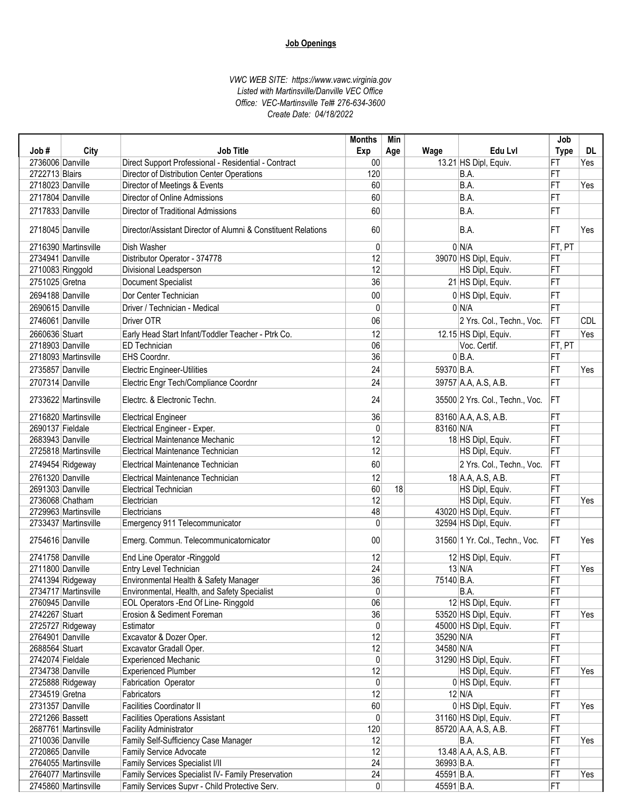|                  |                      |                                                               | <b>Months</b>   | Min |            |                                 | Job             |            |
|------------------|----------------------|---------------------------------------------------------------|-----------------|-----|------------|---------------------------------|-----------------|------------|
| Job#             | City                 | <b>Job Title</b>                                              | Exp             | Age | Wage       | Edu Lvl                         | <b>Type</b>     | DL         |
| 2736006 Danville |                      | Direct Support Professional - Residential - Contract          | $00\,$          |     |            | 13.21 HS Dipl, Equiv.           | FT              | Yes        |
| 2722713 Blairs   |                      | Director of Distribution Center Operations                    | 120             |     |            | B.A.                            | FT              |            |
| 2718023 Danville |                      | Director of Meetings & Events                                 | 60              |     |            | B.A.                            | FT              | Yes        |
| 2717804 Danville |                      | Director of Online Admissions                                 | 60              |     |            | B.A.                            | FT              |            |
| 2717833 Danville |                      | Director of Traditional Admissions                            | 60              |     |            | B.A.                            | FT              |            |
|                  |                      |                                                               |                 |     |            |                                 |                 |            |
| 2718045 Danville |                      | Director/Assistant Director of Alumni & Constituent Relations | 60              |     |            | B.A.                            | FT              | Yes        |
|                  | 2716390 Martinsville | <b>Dish Washer</b>                                            | $\mathbf{0}$    |     |            | 0 N/A                           | FT, PT          |            |
| 2734941 Danville |                      | Distributor Operator - 374778                                 | 12              |     |            | 39070 HS Dipl, Equiv.           | FT              |            |
|                  | 2710083 Ringgold     | Divisional Leadsperson                                        | 12              |     |            | HS Dipl, Equiv.                 | FT              |            |
| 2751025 Gretna   |                      | <b>Document Specialist</b>                                    | 36              |     |            | 21 HS Dipl, Equiv.              | FT              |            |
| 2694188 Danville |                      | Dor Center Technician                                         | 00              |     |            | 0 HS Dipl, Equiv.               | FT              |            |
| 2690615 Danville |                      | Driver / Technician - Medical                                 | $\mathbf{0}$    |     |            | 0 N/A                           | FT              |            |
| 2746061 Danville |                      | Driver OTR                                                    | 06              |     |            | 2 Yrs. Col., Techn., Voc.       | FT              | <b>CDL</b> |
| 2660636 Stuart   |                      | Early Head Start Infant/Toddler Teacher - Ptrk Co.            | 12              |     |            | 12.15 HS Dipl, Equiv.           | FT              | Yes        |
| 2718903 Danville |                      | <b>ED Technician</b>                                          | 06              |     |            | Voc. Certif.                    | FT, PT          |            |
|                  | 2718093 Martinsville | EHS Coordnr.                                                  | 36              |     |            | $0 BA$ .                        | FT              |            |
| 2735857 Danville |                      | <b>Electric Engineer-Utilities</b>                            | 24              |     | 59370 B.A. |                                 | FT              | Yes        |
| 2707314 Danville |                      | Electric Engr Tech/Compliance Coordnr                         | $\overline{24}$ |     |            | 39757 A.A. A.S. A.B.            | FT              |            |
|                  | 2733622 Martinsville | Electrc. & Electronic Techn.                                  | 24              |     |            | 35500 2 Yrs. Col., Techn., Voc. | IFT             |            |
|                  |                      |                                                               |                 |     |            |                                 |                 |            |
|                  | 2716820 Martinsville | <b>Electrical Engineer</b>                                    | 36              |     |            | 83160 A.A. A.S. A.B.            | FT              |            |
| 2690137 Fieldale |                      | Electrical Engineer - Exper.                                  | $\mathbf{0}$    |     | 83160 N/A  |                                 | FT              |            |
| 2683943 Danville |                      | Electrical Maintenance Mechanic                               | 12              |     |            | 18 HS Dipl, Equiv.              | FT              |            |
|                  | 2725818 Martinsville | Electrical Maintenance Technician                             | 12              |     |            | HS Dipl, Equiv.                 | FT              |            |
|                  | 2749454 Ridgeway     | Electrical Maintenance Technician                             | 60              |     |            | 2 Yrs. Col., Techn., Voc.       | FT              |            |
| 2761320 Danville |                      | Electrical Maintenance Technician                             | $\overline{12}$ |     |            | 18 A.A, A.S, A.B.               | FT              |            |
| 2691303 Danville |                      | <b>Electrical Technician</b>                                  | 60              | 18  |            | HS Dipl, Equiv.                 | FT              |            |
|                  | 2736068 Chatham      | Electrician                                                   | 12              |     |            | HS Dipl, Equiv.                 | FT              | Yes        |
|                  | 2729963 Martinsville | Electricians                                                  | 48              |     |            | 43020 HS Dipl, Equiv.           | FT              |            |
|                  | 2733437 Martinsville | Emergency 911 Telecommunicator                                | 0               |     |            | 32594 HS Dipl, Equiv.           | FT              |            |
| 2754616 Danville |                      | Emerg. Commun. Telecommunicatornicator                        | 00              |     |            | 31560 1 Yr. Col., Techn., Voc.  | FT              | Yes        |
| 2741758 Danville |                      | End Line Operator - Ringgold                                  | 12              |     |            | 12 HS Dipl, Equiv.              | FT              |            |
| 2711800 Danville |                      | Entry Level Technician                                        | 24              |     |            | $13$ N/A                        | FT              | Yes        |
|                  | 2741394 Ridgeway     | Environmental Health & Safety Manager                         | 36              |     | 75140 B.A. |                                 | FT              |            |
|                  | 2/34/1/ Martinsville | Environmental, Health, and Safety Specialist                  | 0               |     |            | B.A.                            | FT              |            |
| 2760945 Danville |                      | EOL Operators - End Of Line- Ringgold                         | 06              |     |            | 12 HS Dipl, Equiv.              | FT              |            |
| 2742267 Stuart   |                      | Erosion & Sediment Foreman                                    | 36              |     |            | 53520 HS Dipl, Equiv.           | FT              | Yes        |
|                  | 2725727 Ridgeway     | Estimator                                                     | 0               |     |            | 45000 HS Dipl, Equiv.           | FT              |            |
| 2764901 Danville |                      | Excavator & Dozer Oper.                                       | 12              |     | 35290 N/A  |                                 | FT              |            |
| 2688564 Stuart   |                      | Excavator Gradall Oper.                                       | 12              |     | 34580 N/A  |                                 | FT              |            |
| 2742074 Fieldale |                      | <b>Experienced Mechanic</b>                                   | 0               |     |            | 31290 HS Dipl, Equiv.           | FT              |            |
| 2734738 Danville |                      | <b>Experienced Plumber</b>                                    | 12              |     |            | HS Dipl, Equiv.                 | FT              | Yes        |
|                  | 2725888 Ridgeway     | Fabrication Operator                                          | 0               |     |            | 0 HS Dipl, Equiv.               | FT              |            |
| 2734519 Gretna   |                      | Fabricators                                                   | 12              |     |            | $12$ N/A                        | FT              |            |
| 2731357 Danville |                      | Facilities Coordinator II                                     | 60              |     |            | 0 HS Dipl, Equiv.               | FT              | Yes        |
| 2721266 Bassett  |                      | <b>Facilities Operations Assistant</b>                        | $\mathbf{0}$    |     |            | 31160 HS Dipl, Equiv.           | FT              |            |
|                  | 2687761 Martinsville | Facility Administrator                                        | 120             |     |            | 85720 A.A, A.S, A.B.            | FT              |            |
| 2710036 Danville |                      | Family Self-Sufficiency Case Manager                          | 12              |     |            | B.A.                            | $ \mathsf{FT} $ | Yes        |
| 2720865 Danville |                      | Family Service Advocate                                       | 12              |     |            | 13.48 A.A, A.S, A.B.            | FT              |            |
|                  | 2764055 Martinsville | Family Services Specialist I/II                               | 24              |     | 36993 B.A. |                                 | FT              |            |
|                  | 2764077 Martinsville | Family Services Specialist IV- Family Preservation            | 24              |     | 45591 B.A. |                                 | FT              | Yes        |
|                  | 2745860 Martinsville | Family Services Supvr - Child Protective Serv.                | $\overline{0}$  |     | 45591 B.A. |                                 | FT              |            |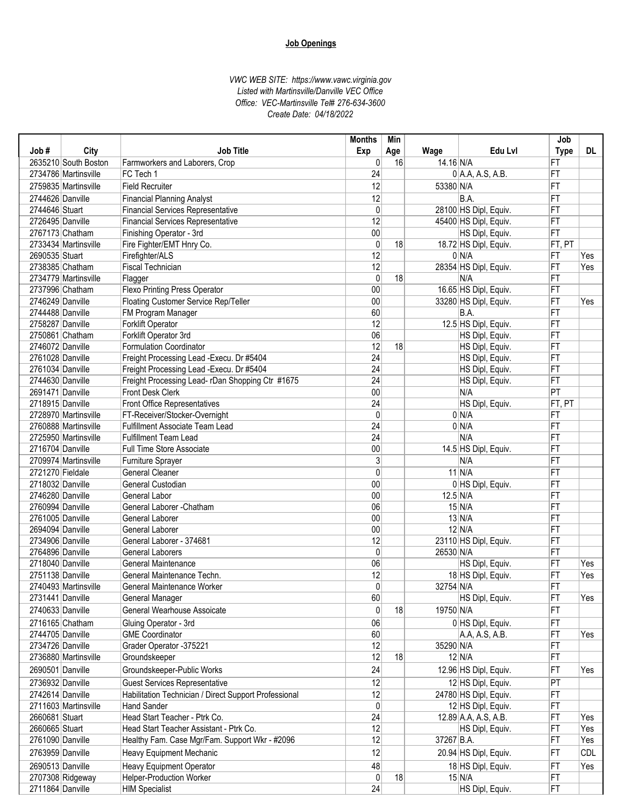|                  |                      |                                                       | <b>Months</b>   | Min |            |                       | Job             |            |
|------------------|----------------------|-------------------------------------------------------|-----------------|-----|------------|-----------------------|-----------------|------------|
| Job#             | City                 | <b>Job Title</b>                                      | Exp             | Age | Wage       | Edu Lvl               | <b>Type</b>     | DL.        |
|                  | 2635210 South Boston | Farmworkers and Laborers, Crop                        | 0               | 16  | 14.16 N/A  |                       | FT              |            |
|                  | 2734786 Martinsville | FC Tech 1                                             | 24              |     |            | $0$ A.A, A.S, A.B.    | FT              |            |
|                  | 2759835 Martinsville | <b>Field Recruiter</b>                                | 12              |     | 53380 N/A  |                       | FT              |            |
| 2744626 Danville |                      | <b>Financial Planning Analyst</b>                     | 12              |     |            | B.A.                  | FT              |            |
| 2744646 Stuart   |                      | <b>Financial Services Representative</b>              | 0               |     |            | 28100 HS Dipl, Equiv. | FT              |            |
| 2726495 Danville |                      | <b>Financial Services Representative</b>              | 12              |     |            | 45400 HS Dipl, Equiv. | FT              |            |
| 2767173 Chatham  |                      | Finishing Operator - 3rd                              | 00              |     |            | HS Dipl, Equiv.       | FT              |            |
|                  | 2733434 Martinsville | Fire Fighter/EMT Hnry Co.                             | 0               | 18  |            | 18.72 HS Dipl, Equiv. | FT, PT          |            |
| 2690535 Stuart   |                      | Firefighter/ALS                                       | 12              |     |            | 0 N/A                 | FT              | Yes        |
| 2738385 Chatham  |                      | <b>Fiscal Technician</b>                              | 12              |     |            | 28354 HS Dipl, Equiv. | FT              | Yes        |
|                  | 2734779 Martinsville | Flagger                                               | $\mathbf{0}$    | 18  |            | N/A                   | FT              |            |
| 2737996 Chatham  |                      | <b>Flexo Printing Press Operator</b>                  | 00              |     |            | 16.65 HS Dipl, Equiv. | FT              |            |
| 2746249 Danville |                      | Floating Customer Service Rep/Teller                  | 00              |     |            | 33280 HS Dipl, Equiv. | FT              | Yes        |
| 2744488 Danville |                      | FM Program Manager                                    | 60              |     |            | B.A.                  | FT              |            |
| 2758287 Danville |                      | Forklift Operator                                     | 12              |     |            | 12.5 HS Dipl, Equiv.  | FT              |            |
| 2750861 Chatham  |                      | Forklift Operator 3rd                                 | 06              |     |            | HS Dipl, Equiv.       | FT              |            |
| 2746072 Danville |                      | Formulation Coordinator                               | 12              | 18  |            | HS Dipl, Equiv.       | FT              |            |
| 2761028 Danville |                      | Freight Processing Lead - Execu. Dr #5404             | 24              |     |            | HS Dipl, Equiv.       | FT              |            |
| 2761034 Danville |                      | Freight Processing Lead - Execu. Dr #5404             | 24              |     |            | HS Dipl, Equiv.       | FT              |            |
| 2744630 Danville |                      | Freight Processing Lead-rDan Shopping Ctr #1675       | 24              |     |            | HS Dipl, Equiv.       | FT              |            |
| 2691471 Danville |                      | Front Desk Clerk                                      | 00              |     |            | N/A                   | PT              |            |
| 2718915 Danville |                      | Front Office Representatives                          | $\overline{24}$ |     |            | HS Dipl, Equiv.       | FT, PT          |            |
|                  | 2728970 Martinsville | FT-Receiver/Stocker-Overnight                         | $\mathbf{0}$    |     |            | 0 N/A                 | FT              |            |
|                  | 2760888 Martinsville | <b>Fulfillment Associate Team Lead</b>                | 24              |     |            | 0 N/A                 | FT              |            |
|                  | 2725950 Martinsville | <b>Fulfillment Team Lead</b>                          | 24              |     |            | N/A                   | FT              |            |
| 2716704 Danville |                      | Full Time Store Associate                             | 00              |     |            | 14.5 HS Dipl, Equiv.  | FT              |            |
|                  | 2709974 Martinsville | Furniture Sprayer                                     | 3               |     |            | N/A                   | FT              |            |
| 2721270 Fieldale |                      | General Cleaner                                       | $\mathbf{0}$    |     |            | $11$ N/A              | FT              |            |
| 2718032 Danville |                      | General Custodian                                     | 00              |     |            | 0 HS Dipl, Equiv.     | FT              |            |
| 2746280 Danville |                      | General Labor                                         | 00              |     | $12.5$ N/A |                       | FT              |            |
| 2760994 Danville |                      | General Laborer - Chatham                             | 06              |     |            | $15$ N/A              | FT              |            |
| 2761005 Danville |                      | General Laborer                                       | 00              |     |            | $13$ N/A              | FT              |            |
| 2694094 Danville |                      | General Laborer                                       | 00              |     |            | $12$ N/A              | FT              |            |
| 2734906 Danville |                      | General Laborer - 374681                              | 12              |     |            | 23110 HS Dipl, Equiv. | FT              |            |
| 2764896 Danville |                      | <b>General Laborers</b>                               | $\mathbf{0}$    |     | 26530 N/A  |                       | FT              |            |
| 2718040 Danville |                      | General Maintenance                                   | 06              |     |            | HS Dipl, Equiv.       | FT              | Yes        |
| 2751138 Danville |                      | General Maintenance Techn.                            | 12              |     |            | 18 HS Dipl, Equiv.    | FT              | Yes        |
|                  | 2740493 Martinsville | General Maintenance Worker                            | $\mathbf{0}$    |     | 32754 N/A  |                       | FT              |            |
| 2731441 Danville |                      | General Manager                                       | 60              |     |            | HS Dipl, Equiv.       | FT              | Yes        |
| 2740633 Danville |                      | General Wearhouse Assoicate                           | 0               | 18  | 19750 N/A  |                       | FT              |            |
| 2716165 Chatham  |                      | Gluing Operator - 3rd                                 | 06              |     |            | 0 HS Dipl, Equiv.     | FT              |            |
| 2744705 Danville |                      | <b>GME Coordinator</b>                                | 60              |     |            | A.A, A.S, A.B.        | FT              | Yes        |
| 2734726 Danville |                      | Grader Operator -375221                               | 12              |     | 35290 N/A  |                       | FT              |            |
|                  | 2736880 Martinsville | Groundskeeper                                         | 12              | 18  |            | $12$ N/A              | FT              |            |
|                  |                      |                                                       |                 |     |            |                       |                 |            |
| 2690501 Danville |                      | Groundskeeper-Public Works                            | 24              |     |            | 12.96 HS Dipl, Equiv. | FT              | Yes        |
| 2736932 Danville |                      | <b>Guest Services Representative</b>                  | 12              |     |            | 12 HS Dipl, Equiv.    | $\overline{PT}$ |            |
| 2742614 Danville |                      | Habilitation Technician / Direct Support Professional | 12              |     |            | 24780 HS Dipl, Equiv. | FT              |            |
|                  | 2711603 Martinsville | Hand Sander                                           | 0               |     |            | 12 HS Dipl, Equiv.    | FT              |            |
| 2660681 Stuart   |                      | Head Start Teacher - Ptrk Co.                         | 24              |     |            | 12.89 A.A, A.S, A.B.  | FT              | Yes        |
| 2660665 Stuart   |                      | Head Start Teacher Assistant - Ptrk Co.               | 12              |     |            | HS Dipl, Equiv.       | FT              | Yes        |
| 2761090 Danville |                      | Healthy Fam. Case Mgr/Fam. Support Wkr - #2096        | 12              |     | 37267 B.A. |                       | FT              | Yes        |
| 2763959 Danville |                      | Heavy Equipment Mechanic                              | 12              |     |            | 20.94 HS Dipl, Equiv. | FT              | <b>CDL</b> |
| 2690513 Danville |                      | Heavy Equipment Operator                              | 48              |     |            | 18 HS Dipl, Equiv.    | $ \mathsf{FT} $ | Yes        |
|                  | 2707308 Ridgeway     | Helper-Production Worker                              | 0               | 18  |            | $15 \vert N/A$        | FT              |            |
| 2711864 Danville |                      | <b>HIM Specialist</b>                                 | 24              |     |            | HS Dipl, Equiv.       | FT              |            |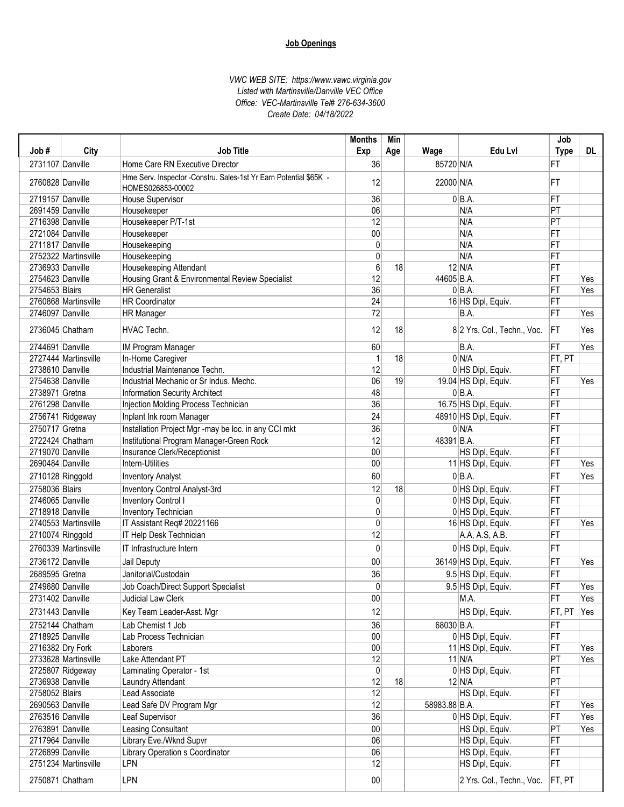| Job#             |                      | <b>Job Title</b>                                                                       | <b>Months</b> | Min |               | Edu Lvl                     | Job             | DL  |
|------------------|----------------------|----------------------------------------------------------------------------------------|---------------|-----|---------------|-----------------------------|-----------------|-----|
|                  | City                 |                                                                                        | Exp           | Age | Wage          |                             | <b>Type</b>     |     |
| 2731107 Danville |                      | Home Care RN Executive Director                                                        | 36            |     | 85720 N/A     |                             | FT              |     |
| 2760828 Danville |                      | Hme Serv. Inspector -Constru. Sales-1st Yr Earn Potential \$65K -<br>HOMES026853-00002 | 12            |     | 22000 N/A     |                             | FT              |     |
| 2719157 Danville |                      | House Supervisor                                                                       | 36            |     |               | $0 BA$ .                    | FT              |     |
| 2691459 Danville |                      | Housekeeper                                                                            | 06            |     |               | N/A                         | PT              |     |
| 2716398 Danville |                      | Housekeeper P/T-1st                                                                    | 12            |     |               | N/A                         | PT              |     |
| 2721084 Danville |                      | Housekeeper                                                                            | 00            |     |               | N/A                         | FT              |     |
| 2711817 Danville |                      | Housekeeping                                                                           | $\mathbf{0}$  |     |               | N/A                         | FT              |     |
|                  | 2752322 Martinsville | Housekeeping                                                                           | $\mathbf{0}$  |     |               | N/A                         | FT              |     |
| 2736933 Danville |                      | Housekeeping Attendant                                                                 | 6             | 18  |               | $12$ N/A                    | FT              |     |
| 2754623 Danville |                      | Housing Grant & Environmental Review Specialist                                        | 12            |     | 44605 B.A.    |                             | FT              | Yes |
| 2754653 Blairs   |                      | <b>HR</b> Generalist                                                                   | 36            |     |               | $0 BA$ .                    | FT              | Yes |
|                  | 2760868 Martinsville | <b>HR Coordinator</b>                                                                  | 24            |     |               | 16 HS Dipl, Equiv.          | FT              |     |
| 2746097 Danville |                      | <b>HR Manager</b>                                                                      | 72            |     |               | B.A.                        | FT              | Yes |
| 2736045 Chatham  |                      | HVAC Techn.                                                                            | 12            | 18  |               | 8 2 Yrs. Col., Techn., Voc. | <b>FT</b>       | Yes |
| 2744691 Danville |                      | IM Program Manager                                                                     | 60            |     |               | B.A.                        | FT              | Yes |
|                  | 2727444 Martinsville | In-Home Caregiver                                                                      | 1             | 18  |               | 0 N/A                       | FT, PT          |     |
| 2738610 Danville |                      | Industrial Maintenance Techn.                                                          | 12            |     |               | 0 HS Dipl, Equiv.           | FT              |     |
| 2754638 Danville |                      | Industrial Mechanic or Sr Indus. Mechc.                                                | 06            | 19  |               | 19.04 HS Dipl, Equiv.       | FT              | Yes |
| 2738971 Gretna   |                      | Information Security Architect                                                         | 48            |     |               | $0 BA$ .                    | FT              |     |
| 2761298 Danville |                      | Injection Molding Process Technician                                                   | 36            |     |               | 16.75 HS Dipl, Equiv.       | FT              |     |
|                  | 2756741 Ridgeway     | Inplant Ink room Manager                                                               | 24            |     |               | 48910 HS Dipl, Equiv.       | FT              |     |
| 2750717 Gretna   |                      | Installation Project Mgr -may be loc. in any CCI mkt                                   | 36            |     |               | 0 N/A                       | FT              |     |
|                  | 2722424 Chatham      | Institutional Program Manager-Green Rock                                               | 12            |     | 48391 B.A.    |                             | FT              |     |
| 2719070 Danville |                      | Insurance Clerk/Receptionist                                                           | 00            |     |               | HS Dipl, Equiv.             | FT              |     |
| 2690484 Danville |                      | Intern-Utilities                                                                       | 00            |     |               | 11 HS Dipl, Equiv.          | FT              | Yes |
| 2710128 Ringgold |                      | <b>Inventory Analyst</b>                                                               | 60            |     |               | $0 BA$ .                    | FT              | Yes |
| 2758036 Blairs   |                      | <b>Inventory Control Analyst-3rd</b>                                                   | 12            | 18  |               | 0 HS Dipl, Equiv.           | FT              |     |
| 2746065 Danville |                      | <b>Inventory Control I</b>                                                             | $\mathbf{0}$  |     |               | 0 HS Dipl, Equiv.           | FT              |     |
| 2718918 Danville |                      | Inventory Technician                                                                   | 0             |     |               | 0 HS Dipl, Equiv.           | FT              |     |
|                  | 2740553 Martinsville | IT Assistant Req# 20221166                                                             | 0             |     |               | 16 HS Dipl, Equiv.          | FT              | Yes |
| 2710074 Ringgold |                      | IT Help Desk Technician                                                                | 12            |     |               | A.A, A.S, A.B.              | FT              |     |
|                  | 2760339 Martinsville | IT Infrastructure Intern                                                               | 0             |     |               | 0 HS Dipl, Equiv.           | FT              |     |
| 2736172 Danville |                      | Jail Deputy                                                                            | 00            |     |               | 36149 HS Dipl, Equiv.       | FT              | Yes |
| 2689595 Gretna   |                      | Janitorial/Custodain                                                                   | 36            |     |               | 9.5 HS Dipl, Equiv.         | FT              |     |
| 2749680 Danville |                      | Job Coach/Direct Support Specialist                                                    | $\Omega$      |     |               |                             | FT              | Yes |
| 2731402 Danville |                      | Judicial Law Clerk                                                                     | $00\,$        |     |               | 9.5 HS Dipl, Equiv.<br>M.A. | FT              | Yes |
| 2731443 Danville |                      | Key Team Leader-Asst. Mgr                                                              | 12            |     |               | HS Dipl, Equiv.             | FT, PT          | Yes |
|                  | 2752144 Chatham      | Lab Chemist 1 Job                                                                      | 36            |     | 68030 B.A.    |                             | FT              |     |
| 2718925 Danville |                      | Lab Process Technician                                                                 | $00\,$        |     |               | 0 HS Dipl, Equiv.           | FT              |     |
| 2716382 Dry Fork |                      | Laborers                                                                               | $00\,$        |     |               | 11 HS Dipl, Equiv.          | FT              | Yes |
|                  | 2733628 Martinsville | Lake Attendant PT                                                                      | 12            |     |               | $11$ N/A                    | $ \mathsf{PT} $ | Yes |
|                  | 2725807 Ridgeway     | Laminating Operator - 1st                                                              | 0             |     |               | 0 HS Dipl, Equiv.           | FT              |     |
| 2736938 Danville |                      | Laundry Attendant                                                                      | 12            | 18  |               | $12$ N/A                    | PT              |     |
| 2758052 Blairs   |                      | Lead Associate                                                                         | 12            |     |               | HS Dipl, Equiv.             | FT              |     |
| 2690563 Danville |                      | Lead Safe DV Program Mgr                                                               | 12            |     | 58983.88 B.A. |                             | FT              | Yes |
| 2763516 Danville |                      | Leaf Supervisor                                                                        | 36            |     |               | 0 HS Dipl, Equiv.           | FT              | Yes |
| 2763891 Danville |                      | Leasing Consultant                                                                     | 00            |     |               | HS Dipl, Equiv.             | $ \mathsf{PT} $ | Yes |
| 2717964 Danville |                      | Library Eve./Wknd Supvr                                                                | 06            |     |               | HS Dipl, Equiv.             | FT              |     |
| 2726899 Danville |                      | Library Operation s Coordinator                                                        | 06            |     |               | HS Dipl, Equiv.             | FT              |     |
|                  | 2751234 Martinsville | LPN                                                                                    | 12            |     |               | HS Dipl, Equiv.             | FT              |     |
|                  | 2750871 Chatham      | LPN                                                                                    | $00\,$        |     |               | 2 Yrs. Col., Techn., Voc.   | FT, PT          |     |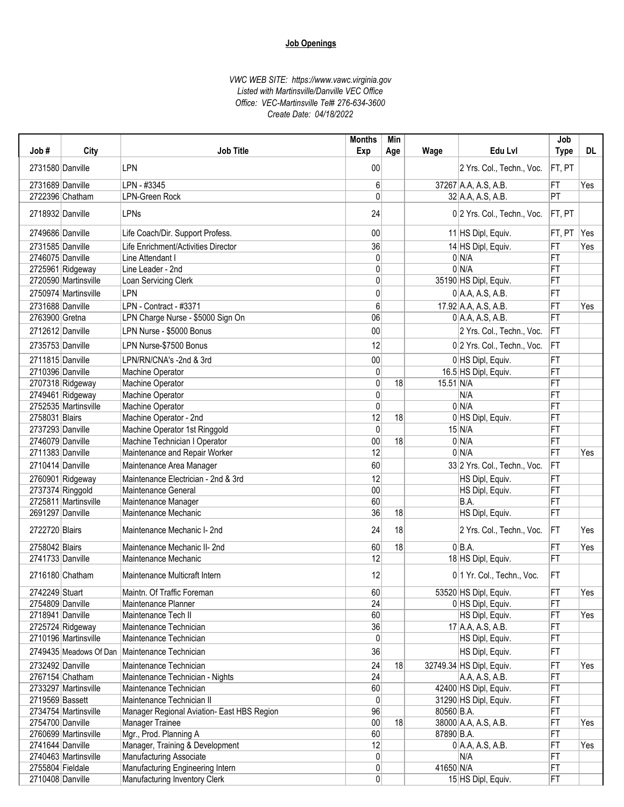| Job#             | City                 | <b>Job Title</b>                                | <b>Months</b><br>Exp | Min<br>Age | Wage                | Edu Lvl                      | Job<br><b>Type</b> | <b>DL</b> |
|------------------|----------------------|-------------------------------------------------|----------------------|------------|---------------------|------------------------------|--------------------|-----------|
| 2731580 Danville |                      | <b>LPN</b>                                      | 00                   |            |                     | 2 Yrs. Col., Techn., Voc.    | FT, PT             |           |
| 2731689 Danville |                      | LPN - #3345                                     | 6                    |            |                     | 37267 A.A, A.S, A.B.         | FT                 | Yes       |
| 2722396 Chatham  |                      | <b>LPN-Green Rock</b>                           | 0                    |            |                     | 32 A.A, A.S, A.B.            | PT                 |           |
| 2718932 Danville |                      | LPNs                                            | 24                   |            |                     | 0 2 Yrs. Col., Techn., Voc.  | FT, PT             |           |
| 2749686 Danville |                      | Life Coach/Dir. Support Profess.                | 00                   |            |                     | 11 HS Dipl, Equiv.           | FT, PT             | Yes       |
| 2731585 Danville |                      | Life Enrichment/Activities Director             | 36                   |            |                     | 14 HS Dipl, Equiv.           | FT                 | Yes       |
| 2746075 Danville |                      | Line Attendant I                                | 0                    |            |                     | 0 N/A                        | FT                 |           |
|                  | 2725961 Ridgeway     | Line Leader - 2nd                               | 0                    |            |                     | $0 \mid N/A$                 | FT                 |           |
|                  | 2720590 Martinsville | Loan Servicing Clerk                            | 0                    |            |                     | 35190 HS Dipl, Equiv.        | FT                 |           |
|                  | 2750974 Martinsville | <b>LPN</b>                                      | 0                    |            |                     | $0$ A.A, A.S, A.B.           | FT                 |           |
| 2731688 Danville |                      | LPN - Contract - #3371                          | 6                    |            |                     | 17.92 A.A, A.S, A.B.         | FT                 | Yes       |
| 2763900 Gretna   |                      | LPN Charge Nurse - \$5000 Sign On               | 06                   |            |                     | $0$ A.A, A.S, A.B.           | FT                 |           |
| 2712612 Danville |                      | LPN Nurse - \$5000 Bonus                        | 00                   |            |                     | 2 Yrs. Col., Techn., Voc.    | FT                 |           |
| 2735753 Danville |                      | LPN Nurse-\$7500 Bonus                          | 12                   |            |                     | 0 2 Yrs. Col., Techn., Voc.  | FT                 |           |
| 2711815 Danville |                      | LPN/RN/CNA's -2nd & 3rd                         | 00                   |            |                     | 0 HS Dipl, Equiv.            | FT                 |           |
| 2710396 Danville |                      | <b>Machine Operator</b>                         | 0                    |            |                     | 16.5 HS Dipl, Equiv.         | FT                 |           |
|                  | 2707318 Ridgeway     | Machine Operator                                | 0                    | 18         | $15.51 \text{ N/A}$ |                              | FT                 |           |
|                  | 2749461 Ridgeway     | Machine Operator                                | 0                    |            |                     | N/A                          | FT                 |           |
|                  | 2752535 Martinsville | Machine Operator                                | $\mathbf{0}$         |            |                     | 0 N/A                        | FT                 |           |
| 2758031 Blairs   |                      | Machine Operator - 2nd                          | 12                   | 18         |                     | 0 HS Dipl, Equiv.            | FT                 |           |
| 2737293 Danville |                      | Machine Operator 1st Ringgold                   | $\mathbf{0}$         |            |                     | $15$ N/A                     | FT                 |           |
| 2746079 Danville |                      | Machine Technician I Operator                   | 00                   | 18         |                     | 0 N/A                        | FT                 |           |
| 2711383 Danville |                      | Maintenance and Repair Worker                   | 12                   |            |                     | 0 N/A                        | FT                 | Yes       |
| 2710414 Danville |                      | Maintenance Area Manager                        | 60                   |            |                     | 33 2 Yrs. Col., Techn., Voc. | FT                 |           |
|                  | 2760901 Ridgeway     | Maintenance Electrician - 2nd & 3rd             | 12                   |            |                     | HS Dipl, Equiv.              | FT                 |           |
| 2737374 Ringgold |                      | Maintenance General                             | 00                   |            |                     | HS Dipl, Equiv.              | FT                 |           |
|                  | 2725811 Martinsville | Maintenance Manager                             | 60                   |            |                     | B.A.                         | FT                 |           |
| 2691297 Danville |                      | Maintenance Mechanic                            | 36                   | 18         |                     | HS Dipl, Equiv.              | FT                 |           |
| 2722720 Blairs   |                      | Maintenance Mechanic I-2nd                      | 24                   | 18         |                     | 2 Yrs. Col., Techn., Voc.    | <b>IFT</b>         | Yes       |
| 2758042 Blairs   |                      | Maintenance Mechanic II-2nd                     | 60                   | 18         |                     | $0 BA$ .                     | FT                 | Yes       |
| 2741733 Danville |                      | Maintenance Mechanic                            | 12                   |            |                     | 18 HS Dipl, Equiv.           | FT                 |           |
| 2716180 Chatham  |                      | Maintenance Multicraft Intern                   | 12                   |            |                     | 0 1 Yr. Col., Techn., Voc.   | FT                 |           |
| 2742249 Stuart   |                      | Maintn. Of Traffic Foreman                      | 60 <sub>1</sub>      |            |                     | 53520 HS Dipl, Equiv.        | FT                 | Yes       |
| 2754809 Danville |                      | Maintenance Planner                             | 24                   |            |                     | 0 HS Dipl, Equiv.            | FT                 |           |
| 2718941 Danville |                      | Maintenance Tech II                             | 60                   |            |                     | HS Dipl, Equiv.              | FT                 | Yes       |
|                  | 2725724 Ridgeway     | Maintenance Technician                          | 36                   |            |                     | $17$ A.A, A.S, A.B.          | FT                 |           |
|                  | 2710196 Martinsville | Maintenance Technician                          | $\mathbf{0}$         |            |                     | HS Dipl, Equiv.              | FT                 |           |
|                  |                      | 2749435 Meadows Of Dan   Maintenance Technician | 36                   |            |                     | HS Dipl, Equiv.              | FT                 |           |
| 2732492 Danville |                      | Maintenance Technician                          | 24                   | 18         |                     | 32749.34 HS Dipl, Equiv.     | FT                 | Yes       |
| 2767154 Chatham  |                      | Maintenance Technician - Nights                 | 24                   |            |                     | A.A, A.S, A.B.               | FT                 |           |
|                  | 2733297 Martinsville | Maintenance Technician                          | 60                   |            |                     | 42400 HS Dipl, Equiv.        | FT                 |           |
| 2719569 Bassett  |                      | Maintenance Technician II                       | $\mathbf{0}$         |            |                     | 31290 HS Dipl, Equiv.        | FT                 |           |
|                  | 2734754 Martinsville | Manager Regional Aviation- East HBS Region      | 96                   |            | 80560 B.A.          |                              | FT                 |           |
| 2754700 Danville |                      | Manager Trainee                                 | 00                   | 18         |                     | 38000 A.A, A.S, A.B.         | FT                 | Yes       |
|                  | 2760699 Martinsville | Mgr., Prod. Planning A                          | 60                   |            | 87890 B.A.          |                              | FT                 |           |
| 2741644 Danville |                      | Manager, Training & Development                 | 12                   |            |                     | $0$ A.A, A.S, A.B.           | FT                 | Yes       |
|                  | 2740463 Martinsville | Manufacturing Associate                         | $\overline{0}$       |            |                     | N/A                          | FT                 |           |
| 2755804 Fieldale |                      | Manufacturing Engineering Intern                | $\overline{0}$       |            | 41650 N/A           |                              | FT                 |           |
| 2710408 Danville |                      | Manufacturing Inventory Clerk                   | $\overline{0}$       |            |                     | 15 HS Dipl, Equiv.           | FT                 |           |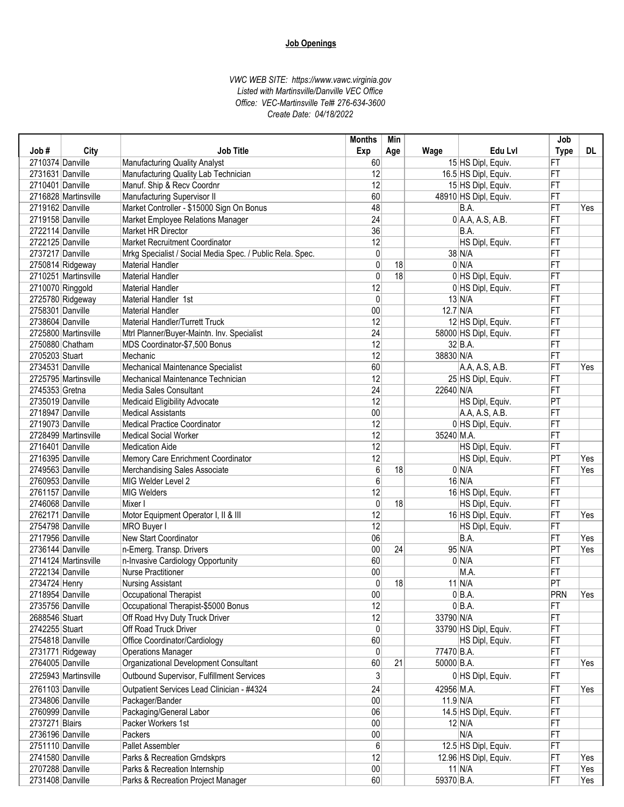|                  |                      |                                                           | <b>Months</b>   | Min |            |                       | Job             |     |
|------------------|----------------------|-----------------------------------------------------------|-----------------|-----|------------|-----------------------|-----------------|-----|
| Job#             | City                 | <b>Job Title</b>                                          | Exp             | Age | Wage       | Edu Lvl               | <b>Type</b>     | DL. |
| 2710374 Danville |                      | Manufacturing Quality Analyst                             | 60              |     |            | 15 HS Dipl, Equiv.    | FT              |     |
| 2731631 Danville |                      | Manufacturing Quality Lab Technician                      | 12              |     |            | 16.5 HS Dipl, Equiv.  | FT              |     |
| 2710401 Danville |                      | Manuf. Ship & Recv Coordnr                                | 12              |     |            | 15 HS Dipl, Equiv.    | FT              |     |
|                  | 2716828 Martinsville | Manufacturing Supervisor II                               | 60              |     |            | 48910 HS Dipl, Equiv. | FT              |     |
| 2719162 Danville |                      | Market Controller - \$15000 Sign On Bonus                 | 48              |     |            | B.A.                  | FT              | Yes |
| 2719158 Danville |                      | Market Employee Relations Manager                         | $\overline{24}$ |     |            | $0$ A.A, A.S, A.B.    | FT              |     |
| 2722114 Danville |                      | Market HR Director                                        | 36              |     |            | B.A.                  | FT              |     |
| 2722125 Danville |                      | Market Recruitment Coordinator                            | 12              |     |            | HS Dipl, Equiv.       | FT              |     |
| 2737217 Danville |                      | Mrkg Specialist / Social Media Spec. / Public Rela. Spec. | $\mathbf{0}$    |     |            | $38$ N/A              | FT              |     |
|                  | 2750814 Ridgeway     | <b>Material Handler</b>                                   | 0               | 18  |            | 0 N/A                 | FT              |     |
|                  | 2710251 Martinsville | <b>Material Handler</b>                                   | $\mathbf{0}$    | 18  |            | 0 HS Dipl, Equiv.     | FT              |     |
| 2710070 Ringgold |                      | <b>Material Handler</b>                                   | 12              |     |            | 0 HS Dipl, Equiv.     | FT              |     |
|                  | 2725780 Ridgeway     | Material Handler 1st                                      | 0               |     |            | $13$ N/A              | FT              |     |
| 2758301 Danville |                      | <b>Material Handler</b>                                   | 00              |     | $12.7$ N/A |                       | FT              |     |
| 2738604 Danville |                      | Material Handler/Turrett Truck                            | 12              |     |            | 12 HS Dipl, Equiv.    | FT              |     |
|                  | 2725800 Martinsville | Mtrl Planner/Buyer-Maintn. Inv. Specialist                | 24              |     |            | 58000 HS Dipl, Equiv. | FT              |     |
|                  | 2750880 Chatham      | MDS Coordinator-\$7,500 Bonus                             | 12              |     |            | $32$ B.A.             | FT              |     |
| 2705203 Stuart   |                      | Mechanic                                                  | 12              |     | 38830 N/A  |                       | FT              |     |
| 2734531 Danville |                      | Mechanical Maintenance Specialist                         | 60              |     |            | A.A, A.S, A.B.        | FT              | Yes |
|                  | 2725795 Martinsville | Mechanical Maintenance Technician                         | 12              |     |            | 25 HS Dipl, Equiv.    | FT              |     |
| 2745353 Gretna   |                      | Media Sales Consultant                                    | 24              |     | 22640 N/A  |                       | FT              |     |
| 2735019 Danville |                      | Medicaid Eligibility Advocate                             | 12              |     |            | HS Dipl, Equiv.       | PT              |     |
| 2718947 Danville |                      | <b>Medical Assistants</b>                                 | 00              |     |            | A.A, A.S, A.B.        | FT              |     |
| 2719073 Danville |                      | <b>Medical Practice Coordinator</b>                       | 12              |     |            | 0 HS Dipl, Equiv.     | FT              |     |
|                  |                      | <b>Medical Social Worker</b>                              | 12              |     |            |                       |                 |     |
| 2716401 Danville | 2728499 Martinsville |                                                           | 12              |     | 35240 M.A. |                       | FT<br>FT        |     |
|                  |                      | <b>Medication Aide</b>                                    |                 |     |            | HS Dipl, Equiv.       |                 |     |
| 2716395 Danville |                      | Memory Care Enrichment Coordinator                        | 12              |     |            | HS Dipl, Equiv.       | PT              | Yes |
| 2749563 Danville |                      | Merchandising Sales Associate                             | 6               | 18  |            | 0 N/A                 | FT              | Yes |
| 2760953 Danville |                      | MIG Welder Level 2                                        | 6               |     |            | $16$ N/A              | FT              |     |
| 2761157 Danville |                      | <b>MIG Welders</b>                                        | 12              |     |            | 16 HS Dipl, Equiv.    | FT              |     |
| 2746068 Danville |                      | Mixer I                                                   | $\mathbf{0}$    | 18  |            | HS Dipl, Equiv.       | FT              |     |
| 2762171 Danville |                      | Motor Equipment Operator I, II & III                      | 12              |     |            | 16 HS Dipl, Equiv.    | FT              | Yes |
| 2754798 Danville |                      | MRO Buyer I                                               | 12              |     |            | HS Dipl, Equiv.       | FT              |     |
| 2717956 Danville |                      | New Start Coordinator                                     | 06              |     |            | B.A.                  | FT              | Yes |
| 2736144 Danville |                      | n-Emerg. Transp. Drivers                                  | $00\,$          | 24  |            | $95$ N/A              | $ \mathsf{PT} $ | Yes |
|                  | 2714124 Martinsville | n-Invasive Cardiology Opportunity                         | 60              |     |            | 0 N/A                 | FT              |     |
| 2722134 Danville |                      | <b>Nurse Practitioner</b>                                 | $00\,$          |     |            | M.A.                  | FT              |     |
| 2734724 Henry    |                      | <b>Nursing Assistant</b>                                  | 0               | 18  |            | $11$ N/A              | PT              |     |
| 2718954 Danville |                      | Occupational Therapist                                    | $00\,$          |     |            | 0 B.A.                | PRN             | Yes |
| 2735756 Danville |                      | Occupational Therapist-\$5000 Bonus                       | 12              |     |            | $0 BA$ .              | FT              |     |
| 2688546 Stuart   |                      | Off Road Hvy Duty Truck Driver                            | 12              |     | 33790 N/A  |                       | FT              |     |
| 2742255 Stuart   |                      | Off Road Truck Driver                                     | 0               |     |            | 33790 HS Dipl, Equiv. | FT              |     |
| 2754818 Danville |                      | Office Coordinator/Cardiology                             | 60              |     |            | HS Dipl, Equiv.       | FT              |     |
|                  | 2731771 Ridgeway     | <b>Operations Manager</b>                                 | 0               |     | 77470 B.A. |                       | FT              |     |
| 2764005 Danville |                      | Organizational Development Consultant                     | 60              | 21  | 50000 B.A. |                       | FT              | Yes |
|                  | 2725943 Martinsville | Outbound Supervisor, Fulfillment Services                 | 3               |     |            | 0 HS Dipl, Equiv.     | FT              |     |
| 2761103 Danville |                      | Outpatient Services Lead Clinician - #4324                | 24              |     | 42956 M.A. |                       | FT              | Yes |
| 2734806 Danville |                      | Packager/Bander                                           | $00\,$          |     | $11.9$ N/A |                       | FT              |     |
| 2760999 Danville |                      | Packaging/General Labor                                   | 06              |     |            | 14.5 HS Dipl, Equiv.  | FT              |     |
| 2737271 Blairs   |                      | Packer Workers 1st                                        | $00\,$          |     |            | $12 \vert N/A$        | FT              |     |
| 2736196 Danville |                      | Packers                                                   | $00\,$          |     |            | N/A                   | FT              |     |
| 2751110 Danville |                      | Pallet Assembler                                          | 6               |     |            | 12.5 HS Dipl, Equiv.  | FT              |     |
|                  |                      |                                                           | 12              |     |            |                       |                 |     |
| 2741580 Danville |                      | Parks & Recreation Grndskprs                              |                 |     |            | 12.96 HS Dipl, Equiv. | $ \mathsf{FT} $ | Yes |
| 2707288 Danville |                      | Parks & Recreation Internship                             | 00 <sub>0</sub> |     |            | $11$ N/A              | FT              | Yes |
| 2731408 Danville |                      | Parks & Recreation Project Manager                        | 60              |     | 59370 B.A. |                       | FT              | Yes |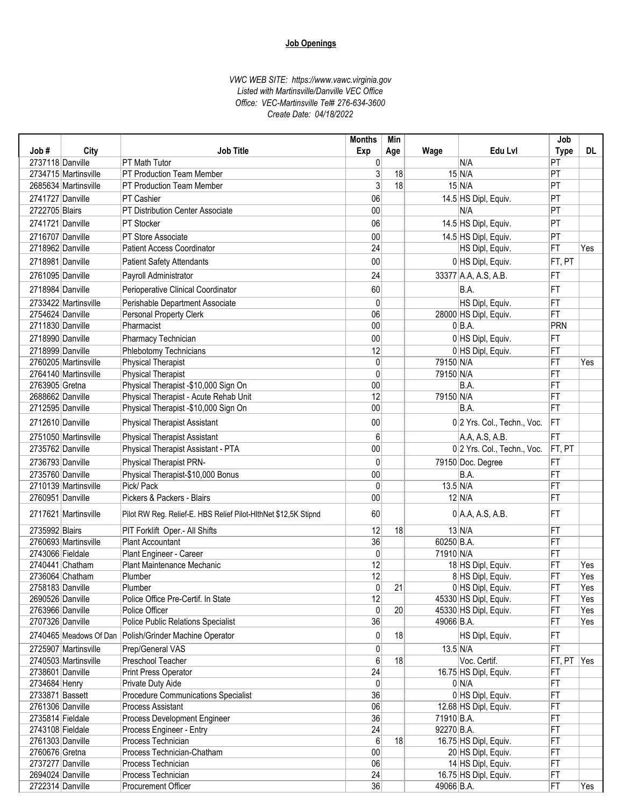| Job#                                 | City                   | <b>Job Title</b>                                                             | <b>Months</b><br>Exp | Min<br>Age | Wage                 | Edu Lvl                        | Job<br><b>Type</b>    | DL. |
|--------------------------------------|------------------------|------------------------------------------------------------------------------|----------------------|------------|----------------------|--------------------------------|-----------------------|-----|
| 2737118 Danville                     |                        | PT Math Tutor                                                                | 0                    |            |                      | N/A                            | PT                    |     |
|                                      | 2734715 Martinsville   | PT Production Team Member                                                    | 3                    | 18         |                      | $15$ N/A                       | $\overline{PT}$       |     |
|                                      | 2685634 Martinsville   | PT Production Team Member                                                    |                      | 18         |                      | $15$ N/A                       | PT                    |     |
| 2741727 Danville                     |                        | PT Cashier                                                                   | 06                   |            |                      | 14.5 HS Dipl, Equiv.           | PT                    |     |
| 2722705 Blairs                       |                        | PT Distribution Center Associate                                             | 00                   |            |                      | N/A                            | PT                    |     |
| 2741721 Danville                     |                        | PT Stocker                                                                   | 06                   |            |                      | 14.5 HS Dipl, Equiv.           | PT                    |     |
|                                      |                        |                                                                              | 00                   |            |                      |                                |                       |     |
| 2716707 Danville<br>2718962 Danville |                        | PT Store Associate<br><b>Patient Access Coordinator</b>                      | $\overline{24}$      |            |                      | 14.5 HS Dipl, Equiv.           | $ \mathsf{PT} $<br>FT | Yes |
|                                      |                        |                                                                              |                      |            |                      | HS Dipl, Equiv.                |                       |     |
| 2718981 Danville                     |                        | <b>Patient Safety Attendants</b>                                             | 00                   |            |                      | 0 HS Dipl, Equiv.              | FT, PT                |     |
| 2761095 Danville                     |                        | Payroll Administrator                                                        | 24                   |            |                      | 33377 A.A, A.S, A.B.           | FT                    |     |
| 2718984 Danville                     |                        | Perioperative Clinical Coordinator                                           | 60                   |            |                      | B.A.                           | FT                    |     |
|                                      | 2733422 Martinsville   | Perishable Department Associate                                              | 0                    |            |                      | HS Dipl, Equiv.                | FT                    |     |
| 2754624 Danville                     |                        | Personal Property Clerk                                                      | 06                   |            |                      | 28000 HS Dipl, Equiv.          | FT                    |     |
| 2711830 Danville                     |                        | Pharmacist                                                                   | 00                   |            |                      | $0 BA$ .                       | PRN                   |     |
| 2718990 Danville                     |                        | Pharmacy Technician                                                          | 00                   |            |                      | 0 HS Dipl, Equiv.              | FT                    |     |
| 2718999 Danville                     |                        | Phlebotomy Technicians                                                       | 12                   |            |                      | 0 HS Dipl, Equiv.              | FT                    |     |
|                                      | 2760205 Martinsville   | <b>Physical Therapist</b>                                                    | 0                    |            | 79150 N/A            |                                | FT                    | Yes |
|                                      | 2764140 Martinsville   | <b>Physical Therapist</b>                                                    | $\Omega$             |            | 79150 N/A            |                                | FT                    |     |
| 2763905 Gretna                       |                        | Physical Therapist -\$10,000 Sign On                                         | 00                   |            |                      | B.A.                           | FT                    |     |
| 2688662 Danville                     |                        | Physical Therapist - Acute Rehab Unit                                        | 12                   |            | 79150 N/A            |                                | FT                    |     |
| 2712595 Danville                     |                        | Physical Therapist -\$10,000 Sign On                                         | 00                   |            |                      | B.A.                           | FT                    |     |
| 2712610 Danville                     |                        | <b>Physical Therapist Assistant</b>                                          | 00                   |            |                      | 0 2 Yrs. Col., Techn., Voc.    | FT                    |     |
|                                      | 2751050 Martinsville   | <b>Physical Therapist Assistant</b>                                          | 6                    |            |                      | A.A, A.S, A.B.                 | FT                    |     |
| 2735762 Danville                     |                        | Physical Therapist Assistant - PTA                                           | 00                   |            |                      | 0 2 Yrs. Col., Techn., Voc.    | FT, PT                |     |
| 2736793 Danville                     |                        | Physical Therapist PRN-                                                      | 0                    |            |                      | 79150 Doc. Degree              | FT                    |     |
| 2735760 Danville                     |                        | Physical Therapist-\$10,000 Bonus                                            | 00                   |            |                      | B.A.                           | FT                    |     |
|                                      | 2710139 Martinsville   | Pick/ Pack                                                                   | $\mathbf{0}$         |            | $13.5$ N/A           |                                | FT                    |     |
| 2760951 Danville                     |                        | Pickers & Packers - Blairs                                                   | 00                   |            |                      | $12$ N/A                       | FT                    |     |
|                                      | 2717621 Martinsville   | Pilot RW Reg. Relief-E. HBS Relief Pilot-HithNet \$12,5K Stipnd              | 60                   |            |                      | $0$ A.A, A.S, A.B.             | FT                    |     |
| 2735992 Blairs                       |                        | PIT Forklift Oper.- All Shifts                                               | 12                   | 18         |                      | $13$ N/A                       | FT                    |     |
|                                      | 2760693 Martinsville   | Plant Accountant                                                             | 36                   |            | 60250 B.A.           |                                | FT                    |     |
| 2743066 Fieldale                     |                        | Plant Engineer - Career                                                      | $\mathbf{0}$         |            | 71910 N/A            |                                | FT                    |     |
|                                      | 2740441 Chatham        | Plant Maintenance Mechanic                                                   | 12                   |            |                      | 18 HS Dipl, Equiv.             | FT                    | Yes |
|                                      | 2736064 Chatham        | Plumber                                                                      | 12                   |            |                      | 8 HS Dipl, Equiv.              | FT                    | Yes |
| 2758183 Danville                     |                        | Plumber                                                                      | $\Omega$             | 21         |                      | 0 HS Dipl, Equiv.              | FT                    | Yes |
| 2690526 Danville                     |                        | Police Office Pre-Certif. In State                                           | 12                   |            |                      | 45330 HS Dipl, Equiv.          | FT                    | Yes |
| 2763966 Danville                     |                        | Police Officer                                                               | 0                    | 20         |                      | 45330 HS Dipl, Equiv.          | FT                    | Yes |
| 2707326 Danville                     | 2740465 Meadows Of Dan | <b>Police Public Relations Specialist</b><br>Polish/Grinder Machine Operator | 36<br>0              | 18         | 49066 B.A.           | HS Dipl, Equiv.                | FT<br>FT              | Yes |
|                                      |                        |                                                                              |                      |            |                      |                                |                       |     |
|                                      | 2725907 Martinsville   | Prep/General VAS                                                             | 0                    |            | $13.5 \, \text{N/A}$ |                                | FT                    |     |
|                                      | 2740503 Martinsville   | Preschool Teacher                                                            | 6<br>24              | 18         |                      | Voc. Certif.                   | FT, PT Yes            |     |
| 2738601 Danville                     |                        | Print Press Operator<br>Private Duty Aide                                    | $\mathbf{0}$         |            |                      | 16.75 HS Dipl, Equiv.<br>0 N/A | FT<br>FT              |     |
| 2734684 Henry<br>2733871 Bassett     |                        | Procedure Communications Specialist                                          | 36                   |            |                      | 0 HS Dipl, Equiv.              | FT                    |     |
| 2761306 Danville                     |                        | Process Assistant                                                            | 06                   |            |                      | 12.68 HS Dipl, Equiv.          | FT                    |     |
| 2735814 Fieldale                     |                        | Process Development Engineer                                                 | 36                   |            | 71910 B.A.           |                                | FT                    |     |
| 2743108 Fieldale                     |                        | Process Engineer - Entry                                                     | 24                   |            | 92270 B.A.           |                                | FT                    |     |
| 2761303 Danville                     |                        | Process Technician                                                           | 6                    | 18         |                      | 16.75 HS Dipl, Equiv.          | FT                    |     |
| 2760676 Gretna                       |                        | Process Technician-Chatham                                                   | 00                   |            |                      | 20 HS Dipl, Equiv.             | FT                    |     |
| 2737277 Danville                     |                        | Process Technician                                                           | 06                   |            |                      | 14 HS Dipl, Equiv.             | FT                    |     |
| 2694024 Danville                     |                        | Process Technician                                                           | 24                   |            |                      | 16.75 HS Dipl, Equiv.          | FT                    |     |
| 2722314 Danville                     |                        | Procurement Officer                                                          | 36                   |            | 49066 B.A.           |                                | FT                    | Yes |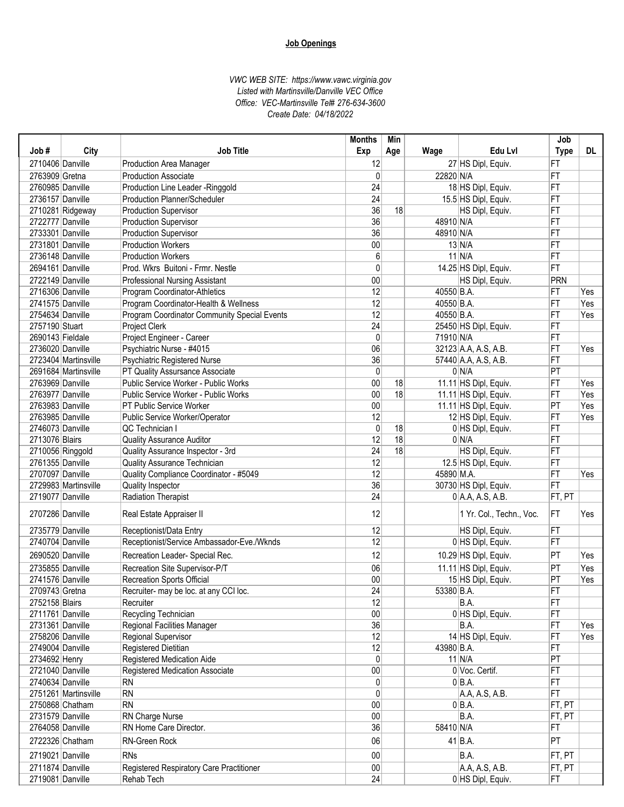| Exp<br>Wage<br><b>Type</b><br>2710406 Danville<br>12<br>27 HS Dipl, Equiv.<br>FT<br><b>Production Area Manager</b><br>2763909 Gretna<br>22820 N/A<br>$\mathbf{0}$<br>FT<br><b>Production Associate</b><br>FT<br>2760985 Danville<br>24<br>18 HS Dipl, Equiv.<br>Production Line Leader - Ringgold<br>24<br>FT<br>2736157 Danville<br>Production Planner/Scheduler<br>15.5 HS Dipl, Equiv.<br>36<br>2710281 Ridgeway<br>18<br>HS Dipl, Equiv.<br>FT<br><b>Production Supervisor</b><br>36<br>2722777 Danville<br>48910 N/A<br>Production Supervisor<br>FT<br>36<br>FT<br>2733301 Danville<br>Production Supervisor<br>48910 N/A<br>00<br>2731801 Danville<br>$13$ N/A<br>FT<br><b>Production Workers</b><br>$11$ N/A<br>FT<br>2736148 Danville<br>6<br><b>Production Workers</b><br>FT<br>2694161 Danville<br>0<br>Prod. Wkrs Buitoni - Frmr. Nestle<br>14.25 HS Dipl, Equiv.<br>00<br>2722149 Danville<br>PRN<br>Professional Nursing Assistant<br>HS Dipl, Equiv.<br>12<br>2716306 Danville<br>Program Coordinator-Athletics<br>40550 B.A.<br>FT<br>Yes<br>12<br>FT<br>2741575 Danville<br>Program Coordinator-Health & Wellness<br>40550 B.A.<br>Yes<br>12<br>2754634 Danville<br>40550 B.A.<br>FT<br>Program Coordinator Community Special Events<br>Yes<br>24<br>2757190 Stuart<br>25450 HS Dipl, Equiv.<br>FT<br>Project Clerk<br>2690143 Fieldale<br>Project Engineer - Career<br>$\mathbf{0}$<br>71910 N/A<br>FT<br>06<br>2736020 Danville<br>Psychiatric Nurse - #4015<br>32123 A.A, A.S, A.B.<br>FT<br>Yes<br>36<br>2723404 Martinsville<br>Psychiatric Registered Nurse<br>57440 A.A, A.S, A.B.<br>FT<br>$\mathbf{0}$<br>0 N/A<br> PT<br>2691684 Martinsville<br>PT Quality Assursance Associate<br>00<br>FT<br>2763969 Danville<br>Public Service Worker - Public Works<br>18<br>11.11 HS Dipl, Equiv.<br>Yes<br>00<br>2763977 Danville<br>Public Service Worker - Public Works<br>18<br>11.11 HS Dipl, Equiv.<br>FT<br>Yes<br> PT<br>2763983 Danville<br>00<br>11.11 HS Dipl, Equiv.<br>Yes<br>PT Public Service Worker<br>2763985 Danville<br>12<br>Public Service Worker/Operator<br>12 HS Dipl, Equiv.<br>FT<br>Yes<br>$\mathbf{0}$<br>QC Technician I<br>FT<br>2746073 Danville<br>18<br>0 HS Dipl, Equiv.<br>12<br>18<br>0 N/A<br>2713076 Blairs<br><b>Quality Assurance Auditor</b><br>FT<br>24<br>18<br>2710056 Ringgold<br>Quality Assurance Inspector - 3rd<br>HS Dipl, Equiv.<br>FT<br>$\overline{12}$<br>2761355 Danville<br>12.5 HS Dipl, Equiv.<br>FT<br>Quality Assurance Technician<br>12<br>2707097 Danville<br>Quality Compliance Coordinator - #5049<br>45890 M.A.<br>FT<br>Yes<br>36<br>FT<br>2729983 Martinsville<br>Quality Inspector<br>30730 HS Dipl, Equiv.<br>24<br>2719077 Danville<br>Radiation Therapist<br>$0$ A.A, A.S, A.B.<br>FT, PT<br>12<br>2707286 Danville<br>1 Yr. Col., Techn., Voc.<br><b>IFT</b><br>Yes<br>Real Estate Appraiser II<br>12<br>2735779 Danville<br>HS Dipl, Equiv.<br>FT<br>Receptionist/Data Entry<br>12<br>2740704 Danville<br>Receptionist/Service Ambassador-Eve./Wknds<br>0 HS Dipl, Equiv.<br>FT<br>12<br> PT<br>2690520 Danville<br>Recreation Leader- Special Rec.<br>10.29 HS Dipl, Equiv.<br>Yes<br>06<br>2735855 Danville<br>PT<br>Yes<br>Recreation Site Supervisor-P/T<br>11.11 HS Dipl, Equiv.<br>00<br>2741576 Danville<br>15 HS Dipl, Equiv.<br>$ \mathsf{PT} $<br>Yes<br>Recreation Sports Official<br>$\overline{24}$<br>2709743 Gretna<br>53380 B.A.<br> FT<br>Recruiter- may be loc. at any CCI loc.<br>12<br>FT<br>2752158 Blairs<br>B.A.<br>Recruiter<br>2711761 Danville<br>Recycling Technician<br>$00\,$<br>0 HS Dipl, Equiv.<br>FT<br>36<br>2731361 Danville<br>B.A.<br>FT<br>Regional Facilities Manager<br>Yes<br>12<br>FT<br>2758206 Danville<br>Regional Supervisor<br>14 HS Dipl, Equiv.<br>Yes<br>12<br>2749004 Danville<br>Registered Dietitian<br>43980 B.A.<br>FT<br>$\overline{PT}$<br>2734692 Henry<br>0<br>$11$ N/A<br>Registered Medication Aide<br>$00\,$<br>0 Voc. Certif.<br>FT<br>2721040 Danville<br><b>Registered Medication Associate</b><br>FT<br>2740634 Danville<br>0<br>$0 BA$ .<br><b>RN</b><br><b>RN</b><br>0<br>FT<br>2751261 Martinsville<br>A.A, A.S, A.B.<br>00<br>2750868 Chatham<br><b>RN</b><br>$0 BA$ .<br>FT, PT<br>2731579 Danville |      |      |                 | <b>Months</b> | Min |         | Job    |     |
|---------------------------------------------------------------------------------------------------------------------------------------------------------------------------------------------------------------------------------------------------------------------------------------------------------------------------------------------------------------------------------------------------------------------------------------------------------------------------------------------------------------------------------------------------------------------------------------------------------------------------------------------------------------------------------------------------------------------------------------------------------------------------------------------------------------------------------------------------------------------------------------------------------------------------------------------------------------------------------------------------------------------------------------------------------------------------------------------------------------------------------------------------------------------------------------------------------------------------------------------------------------------------------------------------------------------------------------------------------------------------------------------------------------------------------------------------------------------------------------------------------------------------------------------------------------------------------------------------------------------------------------------------------------------------------------------------------------------------------------------------------------------------------------------------------------------------------------------------------------------------------------------------------------------------------------------------------------------------------------------------------------------------------------------------------------------------------------------------------------------------------------------------------------------------------------------------------------------------------------------------------------------------------------------------------------------------------------------------------------------------------------------------------------------------------------------------------------------------------------------------------------------------------------------------------------------------------------------------------------------------------------------------------------------------------------------------------------------------------------------------------------------------------------------------------------------------------------------------------------------------------------------------------------------------------------------------------------------------------------------------------------------------------------------------------------------------------------------------------------------------------------------------------------------------------------------------------------------------------------------------------------------------------------------------------------------------------------------------------------------------------------------------------------------------------------------------------------------------------------------------------------------------------------------------------------------------------------------------------------------------------------------------------------------------------------------------------------------------------------------------------------------------------------------------------------------------------------------------------------------------------------------------------------------------------------------------------------------------------------------------------------------------------------------------------------------------------------------------------------------------------------------------------------------------------------------------------------------------------------------------------------------|------|------|-----------------|---------------|-----|---------|--------|-----|
|                                                                                                                                                                                                                                                                                                                                                                                                                                                                                                                                                                                                                                                                                                                                                                                                                                                                                                                                                                                                                                                                                                                                                                                                                                                                                                                                                                                                                                                                                                                                                                                                                                                                                                                                                                                                                                                                                                                                                                                                                                                                                                                                                                                                                                                                                                                                                                                                                                                                                                                                                                                                                                                                                                                                                                                                                                                                                                                                                                                                                                                                                                                                                                                                                                                                                                                                                                                                                                                                                                                                                                                                                                                                                                                                                                                                                                                                                                                                                                                                                                                                                                                                                                                                                                                                     | Job# | City | Job Title       |               | Age | Edu Lvl |        | DL. |
|                                                                                                                                                                                                                                                                                                                                                                                                                                                                                                                                                                                                                                                                                                                                                                                                                                                                                                                                                                                                                                                                                                                                                                                                                                                                                                                                                                                                                                                                                                                                                                                                                                                                                                                                                                                                                                                                                                                                                                                                                                                                                                                                                                                                                                                                                                                                                                                                                                                                                                                                                                                                                                                                                                                                                                                                                                                                                                                                                                                                                                                                                                                                                                                                                                                                                                                                                                                                                                                                                                                                                                                                                                                                                                                                                                                                                                                                                                                                                                                                                                                                                                                                                                                                                                                                     |      |      |                 |               |     |         |        |     |
|                                                                                                                                                                                                                                                                                                                                                                                                                                                                                                                                                                                                                                                                                                                                                                                                                                                                                                                                                                                                                                                                                                                                                                                                                                                                                                                                                                                                                                                                                                                                                                                                                                                                                                                                                                                                                                                                                                                                                                                                                                                                                                                                                                                                                                                                                                                                                                                                                                                                                                                                                                                                                                                                                                                                                                                                                                                                                                                                                                                                                                                                                                                                                                                                                                                                                                                                                                                                                                                                                                                                                                                                                                                                                                                                                                                                                                                                                                                                                                                                                                                                                                                                                                                                                                                                     |      |      |                 |               |     |         |        |     |
|                                                                                                                                                                                                                                                                                                                                                                                                                                                                                                                                                                                                                                                                                                                                                                                                                                                                                                                                                                                                                                                                                                                                                                                                                                                                                                                                                                                                                                                                                                                                                                                                                                                                                                                                                                                                                                                                                                                                                                                                                                                                                                                                                                                                                                                                                                                                                                                                                                                                                                                                                                                                                                                                                                                                                                                                                                                                                                                                                                                                                                                                                                                                                                                                                                                                                                                                                                                                                                                                                                                                                                                                                                                                                                                                                                                                                                                                                                                                                                                                                                                                                                                                                                                                                                                                     |      |      |                 |               |     |         |        |     |
|                                                                                                                                                                                                                                                                                                                                                                                                                                                                                                                                                                                                                                                                                                                                                                                                                                                                                                                                                                                                                                                                                                                                                                                                                                                                                                                                                                                                                                                                                                                                                                                                                                                                                                                                                                                                                                                                                                                                                                                                                                                                                                                                                                                                                                                                                                                                                                                                                                                                                                                                                                                                                                                                                                                                                                                                                                                                                                                                                                                                                                                                                                                                                                                                                                                                                                                                                                                                                                                                                                                                                                                                                                                                                                                                                                                                                                                                                                                                                                                                                                                                                                                                                                                                                                                                     |      |      |                 |               |     |         |        |     |
|                                                                                                                                                                                                                                                                                                                                                                                                                                                                                                                                                                                                                                                                                                                                                                                                                                                                                                                                                                                                                                                                                                                                                                                                                                                                                                                                                                                                                                                                                                                                                                                                                                                                                                                                                                                                                                                                                                                                                                                                                                                                                                                                                                                                                                                                                                                                                                                                                                                                                                                                                                                                                                                                                                                                                                                                                                                                                                                                                                                                                                                                                                                                                                                                                                                                                                                                                                                                                                                                                                                                                                                                                                                                                                                                                                                                                                                                                                                                                                                                                                                                                                                                                                                                                                                                     |      |      |                 |               |     |         |        |     |
|                                                                                                                                                                                                                                                                                                                                                                                                                                                                                                                                                                                                                                                                                                                                                                                                                                                                                                                                                                                                                                                                                                                                                                                                                                                                                                                                                                                                                                                                                                                                                                                                                                                                                                                                                                                                                                                                                                                                                                                                                                                                                                                                                                                                                                                                                                                                                                                                                                                                                                                                                                                                                                                                                                                                                                                                                                                                                                                                                                                                                                                                                                                                                                                                                                                                                                                                                                                                                                                                                                                                                                                                                                                                                                                                                                                                                                                                                                                                                                                                                                                                                                                                                                                                                                                                     |      |      |                 |               |     |         |        |     |
|                                                                                                                                                                                                                                                                                                                                                                                                                                                                                                                                                                                                                                                                                                                                                                                                                                                                                                                                                                                                                                                                                                                                                                                                                                                                                                                                                                                                                                                                                                                                                                                                                                                                                                                                                                                                                                                                                                                                                                                                                                                                                                                                                                                                                                                                                                                                                                                                                                                                                                                                                                                                                                                                                                                                                                                                                                                                                                                                                                                                                                                                                                                                                                                                                                                                                                                                                                                                                                                                                                                                                                                                                                                                                                                                                                                                                                                                                                                                                                                                                                                                                                                                                                                                                                                                     |      |      |                 |               |     |         |        |     |
|                                                                                                                                                                                                                                                                                                                                                                                                                                                                                                                                                                                                                                                                                                                                                                                                                                                                                                                                                                                                                                                                                                                                                                                                                                                                                                                                                                                                                                                                                                                                                                                                                                                                                                                                                                                                                                                                                                                                                                                                                                                                                                                                                                                                                                                                                                                                                                                                                                                                                                                                                                                                                                                                                                                                                                                                                                                                                                                                                                                                                                                                                                                                                                                                                                                                                                                                                                                                                                                                                                                                                                                                                                                                                                                                                                                                                                                                                                                                                                                                                                                                                                                                                                                                                                                                     |      |      |                 |               |     |         |        |     |
|                                                                                                                                                                                                                                                                                                                                                                                                                                                                                                                                                                                                                                                                                                                                                                                                                                                                                                                                                                                                                                                                                                                                                                                                                                                                                                                                                                                                                                                                                                                                                                                                                                                                                                                                                                                                                                                                                                                                                                                                                                                                                                                                                                                                                                                                                                                                                                                                                                                                                                                                                                                                                                                                                                                                                                                                                                                                                                                                                                                                                                                                                                                                                                                                                                                                                                                                                                                                                                                                                                                                                                                                                                                                                                                                                                                                                                                                                                                                                                                                                                                                                                                                                                                                                                                                     |      |      |                 |               |     |         |        |     |
|                                                                                                                                                                                                                                                                                                                                                                                                                                                                                                                                                                                                                                                                                                                                                                                                                                                                                                                                                                                                                                                                                                                                                                                                                                                                                                                                                                                                                                                                                                                                                                                                                                                                                                                                                                                                                                                                                                                                                                                                                                                                                                                                                                                                                                                                                                                                                                                                                                                                                                                                                                                                                                                                                                                                                                                                                                                                                                                                                                                                                                                                                                                                                                                                                                                                                                                                                                                                                                                                                                                                                                                                                                                                                                                                                                                                                                                                                                                                                                                                                                                                                                                                                                                                                                                                     |      |      |                 |               |     |         |        |     |
|                                                                                                                                                                                                                                                                                                                                                                                                                                                                                                                                                                                                                                                                                                                                                                                                                                                                                                                                                                                                                                                                                                                                                                                                                                                                                                                                                                                                                                                                                                                                                                                                                                                                                                                                                                                                                                                                                                                                                                                                                                                                                                                                                                                                                                                                                                                                                                                                                                                                                                                                                                                                                                                                                                                                                                                                                                                                                                                                                                                                                                                                                                                                                                                                                                                                                                                                                                                                                                                                                                                                                                                                                                                                                                                                                                                                                                                                                                                                                                                                                                                                                                                                                                                                                                                                     |      |      |                 |               |     |         |        |     |
|                                                                                                                                                                                                                                                                                                                                                                                                                                                                                                                                                                                                                                                                                                                                                                                                                                                                                                                                                                                                                                                                                                                                                                                                                                                                                                                                                                                                                                                                                                                                                                                                                                                                                                                                                                                                                                                                                                                                                                                                                                                                                                                                                                                                                                                                                                                                                                                                                                                                                                                                                                                                                                                                                                                                                                                                                                                                                                                                                                                                                                                                                                                                                                                                                                                                                                                                                                                                                                                                                                                                                                                                                                                                                                                                                                                                                                                                                                                                                                                                                                                                                                                                                                                                                                                                     |      |      |                 |               |     |         |        |     |
|                                                                                                                                                                                                                                                                                                                                                                                                                                                                                                                                                                                                                                                                                                                                                                                                                                                                                                                                                                                                                                                                                                                                                                                                                                                                                                                                                                                                                                                                                                                                                                                                                                                                                                                                                                                                                                                                                                                                                                                                                                                                                                                                                                                                                                                                                                                                                                                                                                                                                                                                                                                                                                                                                                                                                                                                                                                                                                                                                                                                                                                                                                                                                                                                                                                                                                                                                                                                                                                                                                                                                                                                                                                                                                                                                                                                                                                                                                                                                                                                                                                                                                                                                                                                                                                                     |      |      |                 |               |     |         |        |     |
|                                                                                                                                                                                                                                                                                                                                                                                                                                                                                                                                                                                                                                                                                                                                                                                                                                                                                                                                                                                                                                                                                                                                                                                                                                                                                                                                                                                                                                                                                                                                                                                                                                                                                                                                                                                                                                                                                                                                                                                                                                                                                                                                                                                                                                                                                                                                                                                                                                                                                                                                                                                                                                                                                                                                                                                                                                                                                                                                                                                                                                                                                                                                                                                                                                                                                                                                                                                                                                                                                                                                                                                                                                                                                                                                                                                                                                                                                                                                                                                                                                                                                                                                                                                                                                                                     |      |      |                 |               |     |         |        |     |
|                                                                                                                                                                                                                                                                                                                                                                                                                                                                                                                                                                                                                                                                                                                                                                                                                                                                                                                                                                                                                                                                                                                                                                                                                                                                                                                                                                                                                                                                                                                                                                                                                                                                                                                                                                                                                                                                                                                                                                                                                                                                                                                                                                                                                                                                                                                                                                                                                                                                                                                                                                                                                                                                                                                                                                                                                                                                                                                                                                                                                                                                                                                                                                                                                                                                                                                                                                                                                                                                                                                                                                                                                                                                                                                                                                                                                                                                                                                                                                                                                                                                                                                                                                                                                                                                     |      |      |                 |               |     |         |        |     |
|                                                                                                                                                                                                                                                                                                                                                                                                                                                                                                                                                                                                                                                                                                                                                                                                                                                                                                                                                                                                                                                                                                                                                                                                                                                                                                                                                                                                                                                                                                                                                                                                                                                                                                                                                                                                                                                                                                                                                                                                                                                                                                                                                                                                                                                                                                                                                                                                                                                                                                                                                                                                                                                                                                                                                                                                                                                                                                                                                                                                                                                                                                                                                                                                                                                                                                                                                                                                                                                                                                                                                                                                                                                                                                                                                                                                                                                                                                                                                                                                                                                                                                                                                                                                                                                                     |      |      |                 |               |     |         |        |     |
|                                                                                                                                                                                                                                                                                                                                                                                                                                                                                                                                                                                                                                                                                                                                                                                                                                                                                                                                                                                                                                                                                                                                                                                                                                                                                                                                                                                                                                                                                                                                                                                                                                                                                                                                                                                                                                                                                                                                                                                                                                                                                                                                                                                                                                                                                                                                                                                                                                                                                                                                                                                                                                                                                                                                                                                                                                                                                                                                                                                                                                                                                                                                                                                                                                                                                                                                                                                                                                                                                                                                                                                                                                                                                                                                                                                                                                                                                                                                                                                                                                                                                                                                                                                                                                                                     |      |      |                 |               |     |         |        |     |
|                                                                                                                                                                                                                                                                                                                                                                                                                                                                                                                                                                                                                                                                                                                                                                                                                                                                                                                                                                                                                                                                                                                                                                                                                                                                                                                                                                                                                                                                                                                                                                                                                                                                                                                                                                                                                                                                                                                                                                                                                                                                                                                                                                                                                                                                                                                                                                                                                                                                                                                                                                                                                                                                                                                                                                                                                                                                                                                                                                                                                                                                                                                                                                                                                                                                                                                                                                                                                                                                                                                                                                                                                                                                                                                                                                                                                                                                                                                                                                                                                                                                                                                                                                                                                                                                     |      |      |                 |               |     |         |        |     |
|                                                                                                                                                                                                                                                                                                                                                                                                                                                                                                                                                                                                                                                                                                                                                                                                                                                                                                                                                                                                                                                                                                                                                                                                                                                                                                                                                                                                                                                                                                                                                                                                                                                                                                                                                                                                                                                                                                                                                                                                                                                                                                                                                                                                                                                                                                                                                                                                                                                                                                                                                                                                                                                                                                                                                                                                                                                                                                                                                                                                                                                                                                                                                                                                                                                                                                                                                                                                                                                                                                                                                                                                                                                                                                                                                                                                                                                                                                                                                                                                                                                                                                                                                                                                                                                                     |      |      |                 |               |     |         |        |     |
|                                                                                                                                                                                                                                                                                                                                                                                                                                                                                                                                                                                                                                                                                                                                                                                                                                                                                                                                                                                                                                                                                                                                                                                                                                                                                                                                                                                                                                                                                                                                                                                                                                                                                                                                                                                                                                                                                                                                                                                                                                                                                                                                                                                                                                                                                                                                                                                                                                                                                                                                                                                                                                                                                                                                                                                                                                                                                                                                                                                                                                                                                                                                                                                                                                                                                                                                                                                                                                                                                                                                                                                                                                                                                                                                                                                                                                                                                                                                                                                                                                                                                                                                                                                                                                                                     |      |      |                 |               |     |         |        |     |
|                                                                                                                                                                                                                                                                                                                                                                                                                                                                                                                                                                                                                                                                                                                                                                                                                                                                                                                                                                                                                                                                                                                                                                                                                                                                                                                                                                                                                                                                                                                                                                                                                                                                                                                                                                                                                                                                                                                                                                                                                                                                                                                                                                                                                                                                                                                                                                                                                                                                                                                                                                                                                                                                                                                                                                                                                                                                                                                                                                                                                                                                                                                                                                                                                                                                                                                                                                                                                                                                                                                                                                                                                                                                                                                                                                                                                                                                                                                                                                                                                                                                                                                                                                                                                                                                     |      |      |                 |               |     |         |        |     |
|                                                                                                                                                                                                                                                                                                                                                                                                                                                                                                                                                                                                                                                                                                                                                                                                                                                                                                                                                                                                                                                                                                                                                                                                                                                                                                                                                                                                                                                                                                                                                                                                                                                                                                                                                                                                                                                                                                                                                                                                                                                                                                                                                                                                                                                                                                                                                                                                                                                                                                                                                                                                                                                                                                                                                                                                                                                                                                                                                                                                                                                                                                                                                                                                                                                                                                                                                                                                                                                                                                                                                                                                                                                                                                                                                                                                                                                                                                                                                                                                                                                                                                                                                                                                                                                                     |      |      |                 |               |     |         |        |     |
|                                                                                                                                                                                                                                                                                                                                                                                                                                                                                                                                                                                                                                                                                                                                                                                                                                                                                                                                                                                                                                                                                                                                                                                                                                                                                                                                                                                                                                                                                                                                                                                                                                                                                                                                                                                                                                                                                                                                                                                                                                                                                                                                                                                                                                                                                                                                                                                                                                                                                                                                                                                                                                                                                                                                                                                                                                                                                                                                                                                                                                                                                                                                                                                                                                                                                                                                                                                                                                                                                                                                                                                                                                                                                                                                                                                                                                                                                                                                                                                                                                                                                                                                                                                                                                                                     |      |      |                 |               |     |         |        |     |
|                                                                                                                                                                                                                                                                                                                                                                                                                                                                                                                                                                                                                                                                                                                                                                                                                                                                                                                                                                                                                                                                                                                                                                                                                                                                                                                                                                                                                                                                                                                                                                                                                                                                                                                                                                                                                                                                                                                                                                                                                                                                                                                                                                                                                                                                                                                                                                                                                                                                                                                                                                                                                                                                                                                                                                                                                                                                                                                                                                                                                                                                                                                                                                                                                                                                                                                                                                                                                                                                                                                                                                                                                                                                                                                                                                                                                                                                                                                                                                                                                                                                                                                                                                                                                                                                     |      |      |                 |               |     |         |        |     |
|                                                                                                                                                                                                                                                                                                                                                                                                                                                                                                                                                                                                                                                                                                                                                                                                                                                                                                                                                                                                                                                                                                                                                                                                                                                                                                                                                                                                                                                                                                                                                                                                                                                                                                                                                                                                                                                                                                                                                                                                                                                                                                                                                                                                                                                                                                                                                                                                                                                                                                                                                                                                                                                                                                                                                                                                                                                                                                                                                                                                                                                                                                                                                                                                                                                                                                                                                                                                                                                                                                                                                                                                                                                                                                                                                                                                                                                                                                                                                                                                                                                                                                                                                                                                                                                                     |      |      |                 |               |     |         |        |     |
|                                                                                                                                                                                                                                                                                                                                                                                                                                                                                                                                                                                                                                                                                                                                                                                                                                                                                                                                                                                                                                                                                                                                                                                                                                                                                                                                                                                                                                                                                                                                                                                                                                                                                                                                                                                                                                                                                                                                                                                                                                                                                                                                                                                                                                                                                                                                                                                                                                                                                                                                                                                                                                                                                                                                                                                                                                                                                                                                                                                                                                                                                                                                                                                                                                                                                                                                                                                                                                                                                                                                                                                                                                                                                                                                                                                                                                                                                                                                                                                                                                                                                                                                                                                                                                                                     |      |      |                 |               |     |         |        |     |
|                                                                                                                                                                                                                                                                                                                                                                                                                                                                                                                                                                                                                                                                                                                                                                                                                                                                                                                                                                                                                                                                                                                                                                                                                                                                                                                                                                                                                                                                                                                                                                                                                                                                                                                                                                                                                                                                                                                                                                                                                                                                                                                                                                                                                                                                                                                                                                                                                                                                                                                                                                                                                                                                                                                                                                                                                                                                                                                                                                                                                                                                                                                                                                                                                                                                                                                                                                                                                                                                                                                                                                                                                                                                                                                                                                                                                                                                                                                                                                                                                                                                                                                                                                                                                                                                     |      |      |                 |               |     |         |        |     |
|                                                                                                                                                                                                                                                                                                                                                                                                                                                                                                                                                                                                                                                                                                                                                                                                                                                                                                                                                                                                                                                                                                                                                                                                                                                                                                                                                                                                                                                                                                                                                                                                                                                                                                                                                                                                                                                                                                                                                                                                                                                                                                                                                                                                                                                                                                                                                                                                                                                                                                                                                                                                                                                                                                                                                                                                                                                                                                                                                                                                                                                                                                                                                                                                                                                                                                                                                                                                                                                                                                                                                                                                                                                                                                                                                                                                                                                                                                                                                                                                                                                                                                                                                                                                                                                                     |      |      |                 |               |     |         |        |     |
|                                                                                                                                                                                                                                                                                                                                                                                                                                                                                                                                                                                                                                                                                                                                                                                                                                                                                                                                                                                                                                                                                                                                                                                                                                                                                                                                                                                                                                                                                                                                                                                                                                                                                                                                                                                                                                                                                                                                                                                                                                                                                                                                                                                                                                                                                                                                                                                                                                                                                                                                                                                                                                                                                                                                                                                                                                                                                                                                                                                                                                                                                                                                                                                                                                                                                                                                                                                                                                                                                                                                                                                                                                                                                                                                                                                                                                                                                                                                                                                                                                                                                                                                                                                                                                                                     |      |      |                 |               |     |         |        |     |
|                                                                                                                                                                                                                                                                                                                                                                                                                                                                                                                                                                                                                                                                                                                                                                                                                                                                                                                                                                                                                                                                                                                                                                                                                                                                                                                                                                                                                                                                                                                                                                                                                                                                                                                                                                                                                                                                                                                                                                                                                                                                                                                                                                                                                                                                                                                                                                                                                                                                                                                                                                                                                                                                                                                                                                                                                                                                                                                                                                                                                                                                                                                                                                                                                                                                                                                                                                                                                                                                                                                                                                                                                                                                                                                                                                                                                                                                                                                                                                                                                                                                                                                                                                                                                                                                     |      |      |                 |               |     |         |        |     |
|                                                                                                                                                                                                                                                                                                                                                                                                                                                                                                                                                                                                                                                                                                                                                                                                                                                                                                                                                                                                                                                                                                                                                                                                                                                                                                                                                                                                                                                                                                                                                                                                                                                                                                                                                                                                                                                                                                                                                                                                                                                                                                                                                                                                                                                                                                                                                                                                                                                                                                                                                                                                                                                                                                                                                                                                                                                                                                                                                                                                                                                                                                                                                                                                                                                                                                                                                                                                                                                                                                                                                                                                                                                                                                                                                                                                                                                                                                                                                                                                                                                                                                                                                                                                                                                                     |      |      |                 |               |     |         |        |     |
|                                                                                                                                                                                                                                                                                                                                                                                                                                                                                                                                                                                                                                                                                                                                                                                                                                                                                                                                                                                                                                                                                                                                                                                                                                                                                                                                                                                                                                                                                                                                                                                                                                                                                                                                                                                                                                                                                                                                                                                                                                                                                                                                                                                                                                                                                                                                                                                                                                                                                                                                                                                                                                                                                                                                                                                                                                                                                                                                                                                                                                                                                                                                                                                                                                                                                                                                                                                                                                                                                                                                                                                                                                                                                                                                                                                                                                                                                                                                                                                                                                                                                                                                                                                                                                                                     |      |      |                 |               |     |         |        |     |
|                                                                                                                                                                                                                                                                                                                                                                                                                                                                                                                                                                                                                                                                                                                                                                                                                                                                                                                                                                                                                                                                                                                                                                                                                                                                                                                                                                                                                                                                                                                                                                                                                                                                                                                                                                                                                                                                                                                                                                                                                                                                                                                                                                                                                                                                                                                                                                                                                                                                                                                                                                                                                                                                                                                                                                                                                                                                                                                                                                                                                                                                                                                                                                                                                                                                                                                                                                                                                                                                                                                                                                                                                                                                                                                                                                                                                                                                                                                                                                                                                                                                                                                                                                                                                                                                     |      |      |                 |               |     |         |        |     |
|                                                                                                                                                                                                                                                                                                                                                                                                                                                                                                                                                                                                                                                                                                                                                                                                                                                                                                                                                                                                                                                                                                                                                                                                                                                                                                                                                                                                                                                                                                                                                                                                                                                                                                                                                                                                                                                                                                                                                                                                                                                                                                                                                                                                                                                                                                                                                                                                                                                                                                                                                                                                                                                                                                                                                                                                                                                                                                                                                                                                                                                                                                                                                                                                                                                                                                                                                                                                                                                                                                                                                                                                                                                                                                                                                                                                                                                                                                                                                                                                                                                                                                                                                                                                                                                                     |      |      |                 |               |     |         |        |     |
|                                                                                                                                                                                                                                                                                                                                                                                                                                                                                                                                                                                                                                                                                                                                                                                                                                                                                                                                                                                                                                                                                                                                                                                                                                                                                                                                                                                                                                                                                                                                                                                                                                                                                                                                                                                                                                                                                                                                                                                                                                                                                                                                                                                                                                                                                                                                                                                                                                                                                                                                                                                                                                                                                                                                                                                                                                                                                                                                                                                                                                                                                                                                                                                                                                                                                                                                                                                                                                                                                                                                                                                                                                                                                                                                                                                                                                                                                                                                                                                                                                                                                                                                                                                                                                                                     |      |      |                 |               |     |         |        |     |
|                                                                                                                                                                                                                                                                                                                                                                                                                                                                                                                                                                                                                                                                                                                                                                                                                                                                                                                                                                                                                                                                                                                                                                                                                                                                                                                                                                                                                                                                                                                                                                                                                                                                                                                                                                                                                                                                                                                                                                                                                                                                                                                                                                                                                                                                                                                                                                                                                                                                                                                                                                                                                                                                                                                                                                                                                                                                                                                                                                                                                                                                                                                                                                                                                                                                                                                                                                                                                                                                                                                                                                                                                                                                                                                                                                                                                                                                                                                                                                                                                                                                                                                                                                                                                                                                     |      |      |                 |               |     |         |        |     |
|                                                                                                                                                                                                                                                                                                                                                                                                                                                                                                                                                                                                                                                                                                                                                                                                                                                                                                                                                                                                                                                                                                                                                                                                                                                                                                                                                                                                                                                                                                                                                                                                                                                                                                                                                                                                                                                                                                                                                                                                                                                                                                                                                                                                                                                                                                                                                                                                                                                                                                                                                                                                                                                                                                                                                                                                                                                                                                                                                                                                                                                                                                                                                                                                                                                                                                                                                                                                                                                                                                                                                                                                                                                                                                                                                                                                                                                                                                                                                                                                                                                                                                                                                                                                                                                                     |      |      |                 |               |     |         |        |     |
|                                                                                                                                                                                                                                                                                                                                                                                                                                                                                                                                                                                                                                                                                                                                                                                                                                                                                                                                                                                                                                                                                                                                                                                                                                                                                                                                                                                                                                                                                                                                                                                                                                                                                                                                                                                                                                                                                                                                                                                                                                                                                                                                                                                                                                                                                                                                                                                                                                                                                                                                                                                                                                                                                                                                                                                                                                                                                                                                                                                                                                                                                                                                                                                                                                                                                                                                                                                                                                                                                                                                                                                                                                                                                                                                                                                                                                                                                                                                                                                                                                                                                                                                                                                                                                                                     |      |      |                 |               |     |         |        |     |
|                                                                                                                                                                                                                                                                                                                                                                                                                                                                                                                                                                                                                                                                                                                                                                                                                                                                                                                                                                                                                                                                                                                                                                                                                                                                                                                                                                                                                                                                                                                                                                                                                                                                                                                                                                                                                                                                                                                                                                                                                                                                                                                                                                                                                                                                                                                                                                                                                                                                                                                                                                                                                                                                                                                                                                                                                                                                                                                                                                                                                                                                                                                                                                                                                                                                                                                                                                                                                                                                                                                                                                                                                                                                                                                                                                                                                                                                                                                                                                                                                                                                                                                                                                                                                                                                     |      |      |                 |               |     |         |        |     |
|                                                                                                                                                                                                                                                                                                                                                                                                                                                                                                                                                                                                                                                                                                                                                                                                                                                                                                                                                                                                                                                                                                                                                                                                                                                                                                                                                                                                                                                                                                                                                                                                                                                                                                                                                                                                                                                                                                                                                                                                                                                                                                                                                                                                                                                                                                                                                                                                                                                                                                                                                                                                                                                                                                                                                                                                                                                                                                                                                                                                                                                                                                                                                                                                                                                                                                                                                                                                                                                                                                                                                                                                                                                                                                                                                                                                                                                                                                                                                                                                                                                                                                                                                                                                                                                                     |      |      |                 |               |     |         |        |     |
|                                                                                                                                                                                                                                                                                                                                                                                                                                                                                                                                                                                                                                                                                                                                                                                                                                                                                                                                                                                                                                                                                                                                                                                                                                                                                                                                                                                                                                                                                                                                                                                                                                                                                                                                                                                                                                                                                                                                                                                                                                                                                                                                                                                                                                                                                                                                                                                                                                                                                                                                                                                                                                                                                                                                                                                                                                                                                                                                                                                                                                                                                                                                                                                                                                                                                                                                                                                                                                                                                                                                                                                                                                                                                                                                                                                                                                                                                                                                                                                                                                                                                                                                                                                                                                                                     |      |      |                 |               |     |         |        |     |
|                                                                                                                                                                                                                                                                                                                                                                                                                                                                                                                                                                                                                                                                                                                                                                                                                                                                                                                                                                                                                                                                                                                                                                                                                                                                                                                                                                                                                                                                                                                                                                                                                                                                                                                                                                                                                                                                                                                                                                                                                                                                                                                                                                                                                                                                                                                                                                                                                                                                                                                                                                                                                                                                                                                                                                                                                                                                                                                                                                                                                                                                                                                                                                                                                                                                                                                                                                                                                                                                                                                                                                                                                                                                                                                                                                                                                                                                                                                                                                                                                                                                                                                                                                                                                                                                     |      |      |                 |               |     |         |        |     |
|                                                                                                                                                                                                                                                                                                                                                                                                                                                                                                                                                                                                                                                                                                                                                                                                                                                                                                                                                                                                                                                                                                                                                                                                                                                                                                                                                                                                                                                                                                                                                                                                                                                                                                                                                                                                                                                                                                                                                                                                                                                                                                                                                                                                                                                                                                                                                                                                                                                                                                                                                                                                                                                                                                                                                                                                                                                                                                                                                                                                                                                                                                                                                                                                                                                                                                                                                                                                                                                                                                                                                                                                                                                                                                                                                                                                                                                                                                                                                                                                                                                                                                                                                                                                                                                                     |      |      |                 |               |     |         |        |     |
|                                                                                                                                                                                                                                                                                                                                                                                                                                                                                                                                                                                                                                                                                                                                                                                                                                                                                                                                                                                                                                                                                                                                                                                                                                                                                                                                                                                                                                                                                                                                                                                                                                                                                                                                                                                                                                                                                                                                                                                                                                                                                                                                                                                                                                                                                                                                                                                                                                                                                                                                                                                                                                                                                                                                                                                                                                                                                                                                                                                                                                                                                                                                                                                                                                                                                                                                                                                                                                                                                                                                                                                                                                                                                                                                                                                                                                                                                                                                                                                                                                                                                                                                                                                                                                                                     |      |      |                 |               |     |         |        |     |
|                                                                                                                                                                                                                                                                                                                                                                                                                                                                                                                                                                                                                                                                                                                                                                                                                                                                                                                                                                                                                                                                                                                                                                                                                                                                                                                                                                                                                                                                                                                                                                                                                                                                                                                                                                                                                                                                                                                                                                                                                                                                                                                                                                                                                                                                                                                                                                                                                                                                                                                                                                                                                                                                                                                                                                                                                                                                                                                                                                                                                                                                                                                                                                                                                                                                                                                                                                                                                                                                                                                                                                                                                                                                                                                                                                                                                                                                                                                                                                                                                                                                                                                                                                                                                                                                     |      |      |                 |               |     |         |        |     |
|                                                                                                                                                                                                                                                                                                                                                                                                                                                                                                                                                                                                                                                                                                                                                                                                                                                                                                                                                                                                                                                                                                                                                                                                                                                                                                                                                                                                                                                                                                                                                                                                                                                                                                                                                                                                                                                                                                                                                                                                                                                                                                                                                                                                                                                                                                                                                                                                                                                                                                                                                                                                                                                                                                                                                                                                                                                                                                                                                                                                                                                                                                                                                                                                                                                                                                                                                                                                                                                                                                                                                                                                                                                                                                                                                                                                                                                                                                                                                                                                                                                                                                                                                                                                                                                                     |      |      |                 |               |     |         |        |     |
|                                                                                                                                                                                                                                                                                                                                                                                                                                                                                                                                                                                                                                                                                                                                                                                                                                                                                                                                                                                                                                                                                                                                                                                                                                                                                                                                                                                                                                                                                                                                                                                                                                                                                                                                                                                                                                                                                                                                                                                                                                                                                                                                                                                                                                                                                                                                                                                                                                                                                                                                                                                                                                                                                                                                                                                                                                                                                                                                                                                                                                                                                                                                                                                                                                                                                                                                                                                                                                                                                                                                                                                                                                                                                                                                                                                                                                                                                                                                                                                                                                                                                                                                                                                                                                                                     |      |      |                 |               |     |         |        |     |
|                                                                                                                                                                                                                                                                                                                                                                                                                                                                                                                                                                                                                                                                                                                                                                                                                                                                                                                                                                                                                                                                                                                                                                                                                                                                                                                                                                                                                                                                                                                                                                                                                                                                                                                                                                                                                                                                                                                                                                                                                                                                                                                                                                                                                                                                                                                                                                                                                                                                                                                                                                                                                                                                                                                                                                                                                                                                                                                                                                                                                                                                                                                                                                                                                                                                                                                                                                                                                                                                                                                                                                                                                                                                                                                                                                                                                                                                                                                                                                                                                                                                                                                                                                                                                                                                     |      |      | RN Charge Nurse | $00\,$        |     | B.A.    | FT, PT |     |
| 36<br>2764058 Danville<br>RN Home Care Director.<br>58410 N/A<br>FT                                                                                                                                                                                                                                                                                                                                                                                                                                                                                                                                                                                                                                                                                                                                                                                                                                                                                                                                                                                                                                                                                                                                                                                                                                                                                                                                                                                                                                                                                                                                                                                                                                                                                                                                                                                                                                                                                                                                                                                                                                                                                                                                                                                                                                                                                                                                                                                                                                                                                                                                                                                                                                                                                                                                                                                                                                                                                                                                                                                                                                                                                                                                                                                                                                                                                                                                                                                                                                                                                                                                                                                                                                                                                                                                                                                                                                                                                                                                                                                                                                                                                                                                                                                                 |      |      |                 |               |     |         |        |     |
| PT<br>2722326 Chatham<br>RN-Green Rock<br>06<br>$41$ B.A.                                                                                                                                                                                                                                                                                                                                                                                                                                                                                                                                                                                                                                                                                                                                                                                                                                                                                                                                                                                                                                                                                                                                                                                                                                                                                                                                                                                                                                                                                                                                                                                                                                                                                                                                                                                                                                                                                                                                                                                                                                                                                                                                                                                                                                                                                                                                                                                                                                                                                                                                                                                                                                                                                                                                                                                                                                                                                                                                                                                                                                                                                                                                                                                                                                                                                                                                                                                                                                                                                                                                                                                                                                                                                                                                                                                                                                                                                                                                                                                                                                                                                                                                                                                                           |      |      |                 |               |     |         |        |     |
| <b>RNs</b><br>B.A.<br>FT, PT<br>2719021 Danville<br>$00\,$                                                                                                                                                                                                                                                                                                                                                                                                                                                                                                                                                                                                                                                                                                                                                                                                                                                                                                                                                                                                                                                                                                                                                                                                                                                                                                                                                                                                                                                                                                                                                                                                                                                                                                                                                                                                                                                                                                                                                                                                                                                                                                                                                                                                                                                                                                                                                                                                                                                                                                                                                                                                                                                                                                                                                                                                                                                                                                                                                                                                                                                                                                                                                                                                                                                                                                                                                                                                                                                                                                                                                                                                                                                                                                                                                                                                                                                                                                                                                                                                                                                                                                                                                                                                          |      |      |                 |               |     |         |        |     |
| 00<br>2711874 Danville<br>A.A, A.S, A.B.<br>FT, PT<br>Registered Respiratory Care Practitioner                                                                                                                                                                                                                                                                                                                                                                                                                                                                                                                                                                                                                                                                                                                                                                                                                                                                                                                                                                                                                                                                                                                                                                                                                                                                                                                                                                                                                                                                                                                                                                                                                                                                                                                                                                                                                                                                                                                                                                                                                                                                                                                                                                                                                                                                                                                                                                                                                                                                                                                                                                                                                                                                                                                                                                                                                                                                                                                                                                                                                                                                                                                                                                                                                                                                                                                                                                                                                                                                                                                                                                                                                                                                                                                                                                                                                                                                                                                                                                                                                                                                                                                                                                      |      |      |                 |               |     |         |        |     |
| 2719081 Danville<br>24<br>0 HS Dipl, Equiv.<br>FT<br>Rehab Tech                                                                                                                                                                                                                                                                                                                                                                                                                                                                                                                                                                                                                                                                                                                                                                                                                                                                                                                                                                                                                                                                                                                                                                                                                                                                                                                                                                                                                                                                                                                                                                                                                                                                                                                                                                                                                                                                                                                                                                                                                                                                                                                                                                                                                                                                                                                                                                                                                                                                                                                                                                                                                                                                                                                                                                                                                                                                                                                                                                                                                                                                                                                                                                                                                                                                                                                                                                                                                                                                                                                                                                                                                                                                                                                                                                                                                                                                                                                                                                                                                                                                                                                                                                                                     |      |      |                 |               |     |         |        |     |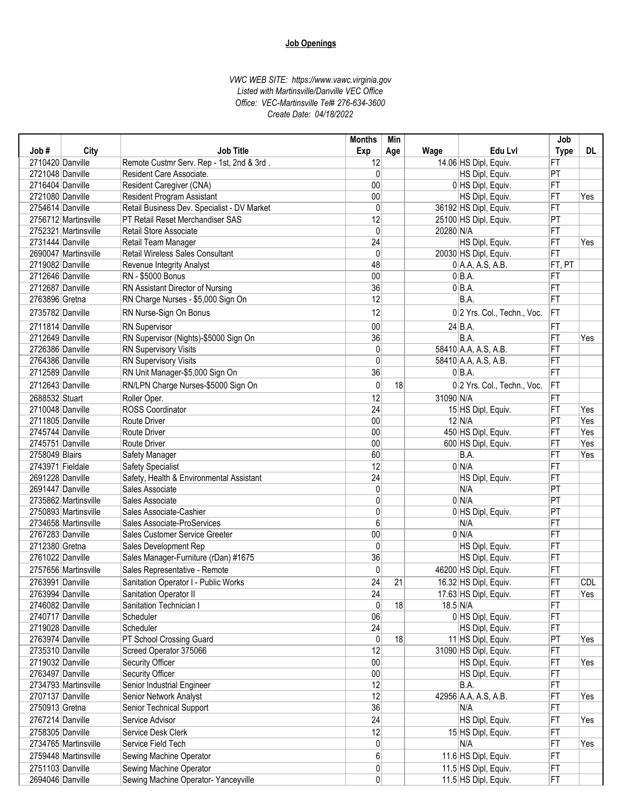|                  |                      |                                             | <b>Months</b>   | Min |               |                             | Job             |            |
|------------------|----------------------|---------------------------------------------|-----------------|-----|---------------|-----------------------------|-----------------|------------|
| Job#             | City                 | <b>Job Title</b>                            | Exp             | Age | Wage          | Edu Lvl                     | <b>Type</b>     | DL.        |
| 2710420 Danville |                      | Remote Custmr Serv. Rep - 1st, 2nd & 3rd.   | 12              |     |               | 14.06 HS Dipl, Equiv.       | FT              |            |
| 2721048 Danville |                      | Resident Care Associate.                    | $\mathbf{0}$    |     |               | HS Dipl, Equiv.             | PT              |            |
| 2716404 Danville |                      | <b>Resident Caregiver (CNA)</b>             | 00              |     |               | 0 HS Dipl, Equiv.           | FT              |            |
| 2721080 Danville |                      | <b>Resident Program Assistant</b>           | 00              |     |               | HS Dipl, Equiv.             | FT              | Yes        |
| 2754614 Danville |                      | Retail Business Dev. Specialist - DV Market | $\mathbf{0}$    |     |               | 36192 HS Dipl, Equiv.       | FT              |            |
|                  | 2756712 Martinsville | PT Retail Reset Merchandiser SAS            | 12              |     |               | 25100 HS Dipl, Equiv.       | PT              |            |
|                  | 2752321 Martinsville | Retail Store Associate                      | 0               |     | 20280 N/A     |                             | FT              |            |
| 2731444 Danville |                      | Retail Team Manager                         | 24              |     |               | HS Dipl, Equiv.             | FT              | Yes        |
|                  | 2690047 Martinsville | <b>Retail Wireless Sales Consultant</b>     | $\mathbf 0$     |     |               | 20030 HS Dipl, Equiv.       | FT              |            |
| 2719082 Danville |                      | Revenue Integrity Analyst                   | 48              |     |               | $0$ A.A, A.S, A.B.          | FT, PT          |            |
| 2712646 Danville |                      | <b>RN - \$5000 Bonus</b>                    | 00              |     |               | $0 BA$ .                    | FT              |            |
| 2712687 Danville |                      | RN Assistant Director of Nursing            | 36              |     |               | $0 BA$ .                    | FT              |            |
| 2763896 Gretna   |                      | RN Charge Nurses - \$5,000 Sign On          | 12              |     |               | B.A.                        | FT              |            |
| 2735782 Danville |                      | RN Nurse-Sign On Bonus                      | 12              |     |               | 0 2 Yrs. Col., Techn., Voc. | <b>FT</b>       |            |
| 2711814 Danville |                      | <b>RN</b> Supervisor                        | 00              |     |               | $24$ B.A.                   | FT              |            |
| 2712649 Danville |                      | RN Supervisor (Nights)-\$5000 Sign On       | 36              |     |               | B.A.                        | FT              | Yes        |
| 2726386 Danville |                      | RN Supervisory Visits                       | 0               |     |               | 58410 A.A, A.S, A.B.        | FT              |            |
| 2764386 Danville |                      | <b>RN Supervisory Visits</b>                | $\mathbf{0}$    |     |               | 58410 A.A, A.S, A.B.        | FT              |            |
| 2712589 Danville |                      | RN Unit Manager-\$5,000 Sign On             | 36              |     |               | $0 BA$ .                    | FT              |            |
| 2712643 Danville |                      | RN/LPN Charge Nurses-\$5000 Sign On         | $\mathbf{0}$    | 18  |               | 0 2 Yrs. Col., Techn., Voc. | FT              |            |
| 2688532 Stuart   |                      | Roller Oper.                                | 12              |     | 31090 N/A     |                             | FT              |            |
| 2710048 Danville |                      | <b>ROSS Coordinator</b>                     | $\overline{24}$ |     |               | 15 HS Dipl, Equiv.          | FT              | Yes        |
| 2711805 Danville |                      | <b>Route Driver</b>                         | 00              |     |               | $12$ N/A                    | $\overline{PT}$ | Yes        |
| 2745744 Danville |                      | <b>Route Driver</b>                         | 00              |     |               | 450 HS Dipl, Equiv.         | FT              | Yes        |
| 2745751 Danville |                      | <b>Route Driver</b>                         | 00              |     |               | 600 HS Dipl, Equiv.         | FT              | Yes        |
| 2758049 Blairs   |                      | Safety Manager                              | 60              |     |               | B.A.                        | FT              | Yes        |
| 2743971 Fieldale |                      | <b>Safety Specialist</b>                    | 12              |     |               | 0 N/A                       | FT              |            |
| 2691228 Danville |                      | Safety, Health & Environmental Assistant    | 24              |     |               | HS Dipl, Equiv.             | FT              |            |
| 2691447 Danville |                      | Sales Associate                             | $\mathbf{0}$    |     |               | N/A                         | PT              |            |
|                  | 2735862 Martinsville | Sales Associate                             | 0               |     |               | 0 N/A                       | PT              |            |
|                  | 2750893 Martinsville | Sales Associate-Cashier                     | 0               |     |               | 0 HS Dipl, Equiv.           | PT              |            |
|                  | 2734658 Martinsville | Sales Associate-ProServices                 | 6               |     |               | N/A                         | FT              |            |
| 2767283 Danville |                      | Sales Customer Service Greeter              | 00              |     |               | 0 N/A                       | FT              |            |
| 2712380 Gretna   |                      | Sales Development Rep                       | 0               |     |               | HS Dipl, Equiv.             | FT              |            |
| 2761022 Danville |                      | Sales Manager-Furniture (rDan) #1675        | 36              |     |               | HS Dipl, Equiv.             | FT              |            |
|                  | 2757656 Martinsville | Sales Representative - Remote               | $\mathbf 0$     |     |               | 46200 HS Dipl, Equiv.       | FT              |            |
| 2763991 Danville |                      | Sanitation Operator I - Public Works        | 24              | 21  |               | 16.32 HS Dipl, Equiv.       | FT              | <b>CDL</b> |
| 2763994 Danville |                      | Sanitation Operator II                      | 24              |     |               | 17.63 HS Dipl, Equiv.       | FT              | Yes        |
| 2746082 Danville |                      | Sanitation Technician I                     | $\mathbf{0}$    | 18  | $18.5 \, N/A$ |                             | FT              |            |
| 2740717 Danville |                      | Scheduler                                   | 06              |     |               | 0 HS Dipl, Equiv.           | FT              |            |
| 2719028 Danville |                      | Scheduler                                   | 24              |     |               | HS Dipl, Equiv.             | FT              |            |
| 2763974 Danville |                      | PT School Crossing Guard                    | 0               | 18  |               | 11 HS Dipl, Equiv.          | PT              | Yes        |
| 2735310 Danville |                      | Screed Operator 375066                      | 12              |     |               | 31090 HS Dipl, Equiv.       | FT              |            |
| 2719032 Danville |                      | Security Officer                            | 00              |     |               | HS Dipl, Equiv.             | FT              | Yes        |
| 2763497 Danville |                      | Security Officer                            | 00              |     |               | HS Dipl, Equiv.             | FT              |            |
|                  | 2734793 Martinsville | Senior Industrial Engineer                  | 12              |     |               | B.A.                        | FT              |            |
| 2707137 Danville |                      | Senior Network Analyst                      | 12              |     |               | 42956 A.A, A.S, A.B.        | FT              | Yes        |
| 2750913 Gretna   |                      | Senior Technical Support                    | 36              |     |               | N/A                         | FT              |            |
| 2767214 Danville |                      | Service Advisor                             | 24              |     |               | HS Dipl, Equiv.             | FT              | Yes        |
| 2758305 Danville |                      | Service Desk Clerk                          | 12              |     |               | 15 HS Dipl, Equiv.          | FT              |            |
|                  | 2734765 Martinsville | Service Field Tech                          | $\pmb{0}$       |     |               | N/A                         | FT              | Yes        |
|                  | 2759448 Martinsville | Sewing Machine Operator                     | 6               |     |               | 11.6 HS Dipl, Equiv.        | FT              |            |
| 2751103 Danville |                      | Sewing Machine Operator                     | 0               |     |               | 11.5 HS Dipl, Equiv.        | FT              |            |
| 2694046 Danville |                      | Sewing Machine Operator- Yanceyville        | $\overline{0}$  |     |               | 11.5 HS Dipl, Equiv.        | FT              |            |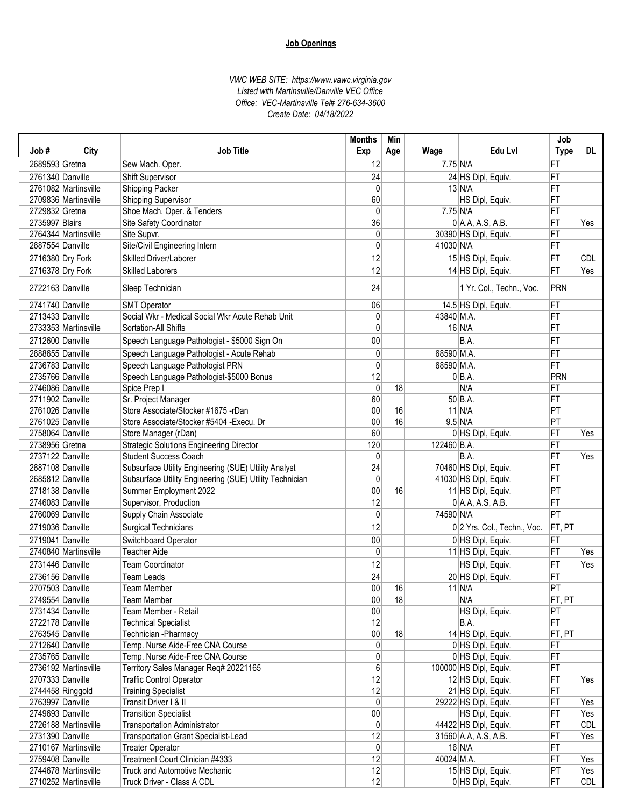|                  |                      |                                                         | <b>Months</b> | Min |             |                             | Job             |            |
|------------------|----------------------|---------------------------------------------------------|---------------|-----|-------------|-----------------------------|-----------------|------------|
| Job#             | City                 | <b>Job Title</b>                                        | Exp           | Age | Wage        | Edu Lvl                     | <b>Type</b>     | DL         |
| 2689593 Gretna   |                      | Sew Mach. Oper.                                         | 12            |     | $7.75$ N/A  |                             | FT              |            |
| 2761340 Danville |                      | Shift Supervisor                                        | 24            |     |             | 24 HS Dipl, Equiv.          | FT              |            |
|                  | 2761082 Martinsville | Shipping Packer                                         | 0             |     |             | $13$ N/A                    | FT              |            |
|                  | 2709836 Martinsville | <b>Shipping Supervisor</b>                              | 60            |     |             | HS Dipl, Equiv.             | FT              |            |
| 2729832 Gretna   |                      | Shoe Mach. Oper. & Tenders                              | $\mathbf{0}$  |     | $7.75$ N/A  |                             | FT              |            |
| 2735997 Blairs   |                      | Site Safety Coordinator                                 | 36            |     |             | $0$ A.A, A.S, A.B.          | FT              | Yes        |
|                  | 2764344 Martinsville | Site Supvr.                                             | 0             |     |             | 30390 HS Dipl, Equiv.       | FT              |            |
| 2687554 Danville |                      | Site/Civil Engineering Intern                           | 0             |     | 41030 N/A   |                             | FT              |            |
|                  | 2716380 Dry Fork     | Skilled Driver/Laborer                                  | 12            |     |             | 15 HS Dipl, Equiv.          | FT              | <b>CDL</b> |
|                  | 2716378 Dry Fork     | <b>Skilled Laborers</b>                                 | 12            |     |             | 14 HS Dipl, Equiv.          | FT              | Yes        |
| 2722163 Danville |                      |                                                         | 24            |     |             | 1 Yr. Col., Techn., Voc.    | PRN             |            |
|                  |                      | Sleep Technician                                        |               |     |             |                             |                 |            |
| 2741740 Danville |                      | <b>SMT Operator</b>                                     | 06            |     |             | 14.5 HS Dipl, Equiv.        | FT              |            |
| 2713433 Danville |                      | Social Wkr - Medical Social Wkr Acute Rehab Unit        | 0             |     | 43840 M.A.  |                             | FT              |            |
|                  | 2733353 Martinsville | Sortation-All Shifts                                    | $\mathbf{0}$  |     |             | $16$ N/A                    | FT              |            |
| 2712600 Danville |                      | Speech Language Pathologist - \$5000 Sign On            | 00            |     |             | B.A.                        | FT              |            |
| 2688655 Danville |                      | Speech Language Pathologist - Acute Rehab               | 0             |     | 68590 M.A.  |                             | FT              |            |
| 2736783 Danville |                      | Speech Language Pathologist PRN                         | 0             |     | 68590 M.A.  |                             | FT              |            |
| 2735766 Danville |                      | Speech Language Pathologist-\$5000 Bonus                | 12            |     |             | $0 BA$ .                    | PRN             |            |
| 2746086 Danville |                      | Spice Prep I                                            | 0             | 18  |             | N/A                         | FT              |            |
| 2711902 Danville |                      | Sr. Project Manager                                     | 60            |     |             | $50$ B.A.                   | FT              |            |
| 2761026 Danville |                      | Store Associate/Stocker #1675 -rDan                     | 00            | 16  |             | $11$ N/A                    | $ \mathsf{PT} $ |            |
| 2761025 Danville |                      | Store Associate/Stocker #5404 - Execu. Dr               | 00            | 16  |             | $9.5$ N/A                   | PT              |            |
| 2758064 Danville |                      | Store Manager (rDan)                                    | 60            |     |             | 0 HS Dipl, Equiv.           | FT              | Yes        |
| 2738956 Gretna   |                      | <b>Strategic Solutions Engineering Director</b>         | 120           |     | 122460 B.A. |                             | FT              |            |
| 2737122 Danville |                      | <b>Student Success Coach</b>                            | 0             |     |             | B.A.                        | FT              | Yes        |
| 2687108 Danville |                      | Subsurface Utility Engineering (SUE) Utility Analyst    | 24            |     |             | 70460 HS Dipl, Equiv.       | FT              |            |
| 2685812 Danville |                      | Subsurface Utility Engineering (SUE) Utility Technician | $\mathbf{0}$  |     |             | 41030 HS Dipl, Equiv.       | FT              |            |
| 2718138 Danville |                      | Summer Employment 2022                                  | 00            | 16  |             | 11 HS Dipl, Equiv.          | $ \mathsf{PT} $ |            |
| 2746083 Danville |                      | Supervisor, Production                                  | 12            |     |             | $0$ A.A, A.S, A.B.          | FT              |            |
| 2760069 Danville |                      | Supply Chain Associate                                  | $\mathbf{0}$  |     | 74590 N/A   |                             | $\overline{PT}$ |            |
| 2719036 Danville |                      | <b>Surgical Technicians</b>                             | 12            |     |             | 0 2 Yrs. Col., Techn., Voc. | FT, PT          |            |
| 2719041 Danville |                      | Switchboard Operator                                    | 00            |     |             | 0 HS Dipl, Equiv.           | FT              |            |
|                  | 2740840 Martinsville | <b>Teacher Aide</b>                                     | 0             |     |             | 11 HS Dipl, Equiv.          | FT              | Yes        |
| 2731446 Danville |                      | <b>Team Coordinator</b>                                 | 12            |     |             | HS Dipl, Equiv.             | FT              | Yes        |
| 2736156 Danville |                      | <b>Team Leads</b>                                       | 24            |     |             | 20 HS Dipl, Equiv.          | FT              |            |
| 2707503 Danville |                      | Team Member                                             | 00            | 16  |             | $11$ N/A                    | PT              |            |
| 2749554 Danville |                      | Team Member                                             | $00\,$        | 18  |             | N/A                         | FT, PT          |            |
| 2731434 Danville |                      | Team Member - Retail                                    | $00\,$        |     |             | HS Dipl, Equiv.             | PT              |            |
| 2722178 Danville |                      | <b>Technical Specialist</b>                             | 12            |     |             | B.A.                        | FT              |            |
| 2763545 Danville |                      | Technician - Pharmacy                                   | $00\,$        | 18  |             | 14 HS Dipl, Equiv.          | FT, PT          |            |
| 2712640 Danville |                      | Temp. Nurse Aide-Free CNA Course                        | 0             |     |             | 0 HS Dipl, Equiv.           | FT              |            |
| 2735765 Danville |                      | Temp. Nurse Aide-Free CNA Course                        | 0             |     |             | 0 HS Dipl, Equiv.           | FT              |            |
|                  | 2736192 Martinsville | Territory Sales Manager Req# 20221165                   | 6             |     |             | 100000 HS Dipl, Equiv.      | FT              |            |
| 2707333 Danville |                      | <b>Traffic Control Operator</b>                         | 12            |     |             | 12 HS Dipl, Equiv.          | FT              | Yes        |
|                  | 2744458 Ringgold     | <b>Training Specialist</b>                              | 12            |     |             | 21 HS Dipl, Equiv.          | FT              |            |
| 2763997 Danville |                      | Transit Driver I & II                                   | 0             |     |             | 29222 HS Dipl, Equiv.       | FT              | Yes        |
| 2749693 Danville |                      | <b>Transition Specialist</b>                            | $00\,$        |     |             | HS Dipl, Equiv.             | FT              | Yes        |
|                  | 2726188 Martinsville | <b>Transportation Administrator</b>                     | 0             |     |             | 44422 HS Dipl, Equiv.       | FT              | <b>CDL</b> |
| 2731390 Danville |                      | Transportation Grant Specialist-Lead                    | 12            |     |             | 31560 A.A, A.S, A.B.        | FT              | Yes        |
|                  | 2710167 Martinsville | <b>Treater Operator</b>                                 | 0             |     |             | $16$ N/A                    | FT              |            |
| 2759408 Danville |                      | Treatment Court Clinician #4333                         | 12            |     | 40024 M.A.  |                             | FT              | Yes        |
|                  | 2744678 Martinsville | <b>Truck and Automotive Mechanic</b>                    | 12            |     |             | 15 HS Dipl, Equiv.          | PT              | Yes        |
|                  | 2710252 Martinsville | Truck Driver - Class A CDL                              | 12            |     |             | 0 HS Dipl, Equiv.           | FT              | CDL        |